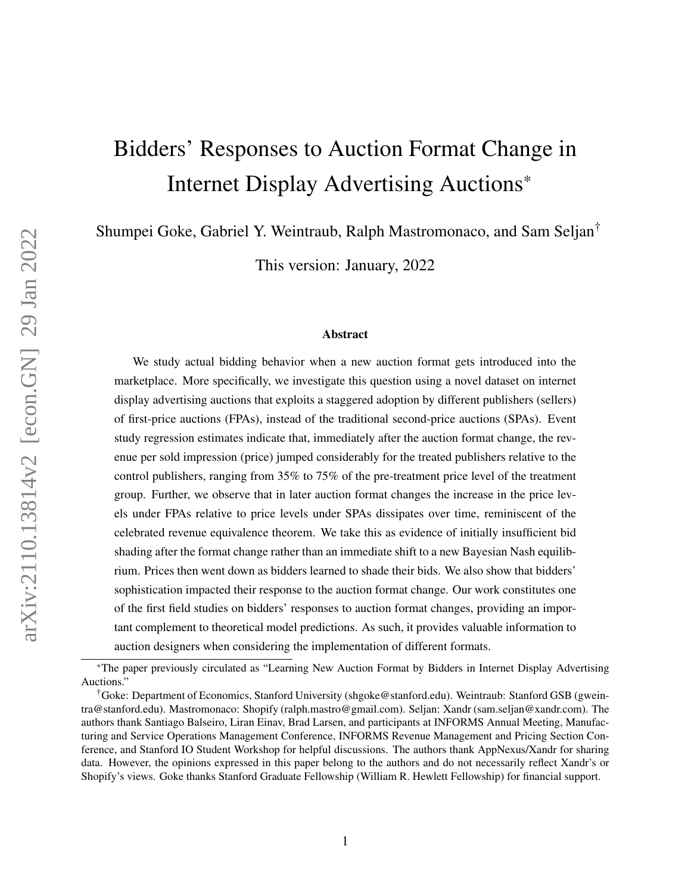# Bidders' Responses to Auction Format Change in Internet Display Advertising Auctions\*

Shumpei Goke, Gabriel Y. Weintraub, Ralph Mastromonaco, and Sam Seljan†

This version: January, 2022

#### Abstract

We study actual bidding behavior when a new auction format gets introduced into the marketplace. More specifically, we investigate this question using a novel dataset on internet display advertising auctions that exploits a staggered adoption by different publishers (sellers) of first-price auctions (FPAs), instead of the traditional second-price auctions (SPAs). Event study regression estimates indicate that, immediately after the auction format change, the revenue per sold impression (price) jumped considerably for the treated publishers relative to the control publishers, ranging from 35% to 75% of the pre-treatment price level of the treatment group. Further, we observe that in later auction format changes the increase in the price levels under FPAs relative to price levels under SPAs dissipates over time, reminiscent of the celebrated revenue equivalence theorem. We take this as evidence of initially insufficient bid shading after the format change rather than an immediate shift to a new Bayesian Nash equilibrium. Prices then went down as bidders learned to shade their bids. We also show that bidders' sophistication impacted their response to the auction format change. Our work constitutes one of the first field studies on bidders' responses to auction format changes, providing an important complement to theoretical model predictions. As such, it provides valuable information to auction designers when considering the implementation of different formats.

<sup>\*</sup>The paper previously circulated as "Learning New Auction Format by Bidders in Internet Display Advertising Auctions."

<sup>†</sup>Goke: Department of Economics, Stanford University (shgoke@stanford.edu). Weintraub: Stanford GSB (gweintra@stanford.edu). Mastromonaco: Shopify (ralph.mastro@gmail.com). Seljan: Xandr (sam.seljan@xandr.com). The authors thank Santiago Balseiro, Liran Einav, Brad Larsen, and participants at INFORMS Annual Meeting, Manufacturing and Service Operations Management Conference, INFORMS Revenue Management and Pricing Section Conference, and Stanford IO Student Workshop for helpful discussions. The authors thank AppNexus/Xandr for sharing data. However, the opinions expressed in this paper belong to the authors and do not necessarily reflect Xandr's or Shopify's views. Goke thanks Stanford Graduate Fellowship (William R. Hewlett Fellowship) for financial support.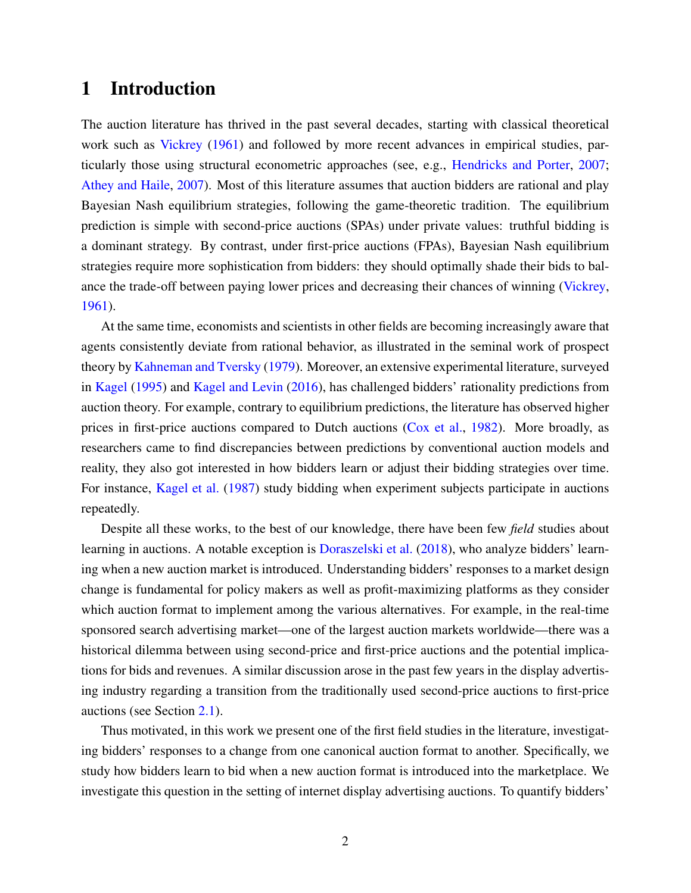### 1 Introduction

The auction literature has thrived in the past several decades, starting with classical theoretical work such as [Vickrey](#page-25-0) [\(1961\)](#page-25-0) and followed by more recent advances in empirical studies, particularly those using structural econometric approaches (see, e.g., [Hendricks and Porter,](#page-23-0) [2007;](#page-23-0) [Athey and Haile,](#page-22-0) [2007\)](#page-22-0). Most of this literature assumes that auction bidders are rational and play Bayesian Nash equilibrium strategies, following the game-theoretic tradition. The equilibrium prediction is simple with second-price auctions (SPAs) under private values: truthful bidding is a dominant strategy. By contrast, under first-price auctions (FPAs), Bayesian Nash equilibrium strategies require more sophistication from bidders: they should optimally shade their bids to balance the trade-off between paying lower prices and decreasing their chances of winning [\(Vickrey,](#page-25-0) [1961\)](#page-25-0).

At the same time, economists and scientists in other fields are becoming increasingly aware that agents consistently deviate from rational behavior, as illustrated in the seminal work of prospect theory by [Kahneman and Tversky](#page-24-0) [\(1979\)](#page-24-0). Moreover, an extensive experimental literature, surveyed in [Kagel](#page-24-1) [\(1995\)](#page-24-1) and [Kagel and Levin](#page-24-2) [\(2016\)](#page-24-2), has challenged bidders' rationality predictions from auction theory. For example, contrary to equilibrium predictions, the literature has observed higher prices in first-price auctions compared to Dutch auctions [\(Cox et al.,](#page-22-1) [1982\)](#page-22-1). More broadly, as researchers came to find discrepancies between predictions by conventional auction models and reality, they also got interested in how bidders learn or adjust their bidding strategies over time. For instance, [Kagel et al.](#page-24-3) [\(1987\)](#page-24-3) study bidding when experiment subjects participate in auctions repeatedly.

Despite all these works, to the best of our knowledge, there have been few *field* studies about learning in auctions. A notable exception is [Doraszelski et al.](#page-23-1) [\(2018\)](#page-23-1), who analyze bidders' learning when a new auction market is introduced. Understanding bidders' responses to a market design change is fundamental for policy makers as well as profit-maximizing platforms as they consider which auction format to implement among the various alternatives. For example, in the real-time sponsored search advertising market—one of the largest auction markets worldwide—there was a historical dilemma between using second-price and first-price auctions and the potential implications for bids and revenues. A similar discussion arose in the past few years in the display advertising industry regarding a transition from the traditionally used second-price auctions to first-price auctions (see Section [2.1\)](#page-4-0).

Thus motivated, in this work we present one of the first field studies in the literature, investigating bidders' responses to a change from one canonical auction format to another. Specifically, we study how bidders learn to bid when a new auction format is introduced into the marketplace. We investigate this question in the setting of internet display advertising auctions. To quantify bidders'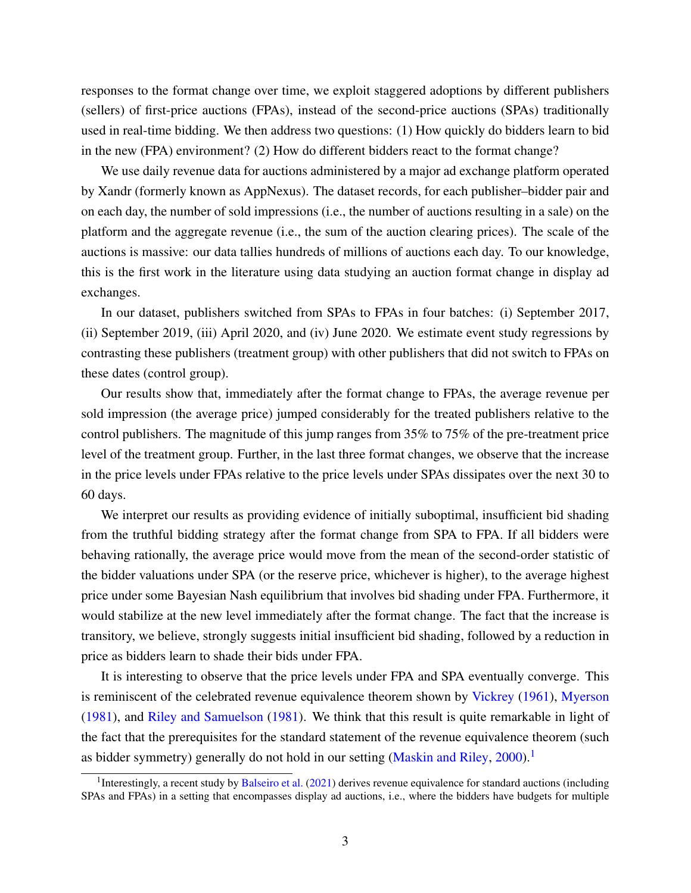responses to the format change over time, we exploit staggered adoptions by different publishers (sellers) of first-price auctions (FPAs), instead of the second-price auctions (SPAs) traditionally used in real-time bidding. We then address two questions: (1) How quickly do bidders learn to bid in the new (FPA) environment? (2) How do different bidders react to the format change?

We use daily revenue data for auctions administered by a major ad exchange platform operated by Xandr (formerly known as AppNexus). The dataset records, for each publisher–bidder pair and on each day, the number of sold impressions (i.e., the number of auctions resulting in a sale) on the platform and the aggregate revenue (i.e., the sum of the auction clearing prices). The scale of the auctions is massive: our data tallies hundreds of millions of auctions each day. To our knowledge, this is the first work in the literature using data studying an auction format change in display ad exchanges.

In our dataset, publishers switched from SPAs to FPAs in four batches: (i) September 2017, (ii) September 2019, (iii) April 2020, and (iv) June 2020. We estimate event study regressions by contrasting these publishers (treatment group) with other publishers that did not switch to FPAs on these dates (control group).

Our results show that, immediately after the format change to FPAs, the average revenue per sold impression (the average price) jumped considerably for the treated publishers relative to the control publishers. The magnitude of this jump ranges from 35% to 75% of the pre-treatment price level of the treatment group. Further, in the last three format changes, we observe that the increase in the price levels under FPAs relative to the price levels under SPAs dissipates over the next 30 to 60 days.

We interpret our results as providing evidence of initially suboptimal, insufficient bid shading from the truthful bidding strategy after the format change from SPA to FPA. If all bidders were behaving rationally, the average price would move from the mean of the second-order statistic of the bidder valuations under SPA (or the reserve price, whichever is higher), to the average highest price under some Bayesian Nash equilibrium that involves bid shading under FPA. Furthermore, it would stabilize at the new level immediately after the format change. The fact that the increase is transitory, we believe, strongly suggests initial insufficient bid shading, followed by a reduction in price as bidders learn to shade their bids under FPA.

It is interesting to observe that the price levels under FPA and SPA eventually converge. This is reminiscent of the celebrated revenue equivalence theorem shown by [Vickrey](#page-25-0) [\(1961\)](#page-25-0), [Myerson](#page-24-4) [\(1981\)](#page-24-4), and [Riley and Samuelson](#page-24-5) [\(1981\)](#page-24-5). We think that this result is quite remarkable in light of the fact that the prerequisites for the standard statement of the revenue equivalence theorem (such as bidder symmetry) generally do not hold in our setting [\(Maskin and Riley,](#page-24-6) [2000\)](#page-24-6).<sup>[1](#page-2-0)</sup>

<span id="page-2-0"></span><sup>&</sup>lt;sup>1</sup>Interestingly, a recent study by [Balseiro et al.](#page-22-2) [\(2021\)](#page-22-2) derives revenue equivalence for standard auctions (including SPAs and FPAs) in a setting that encompasses display ad auctions, i.e., where the bidders have budgets for multiple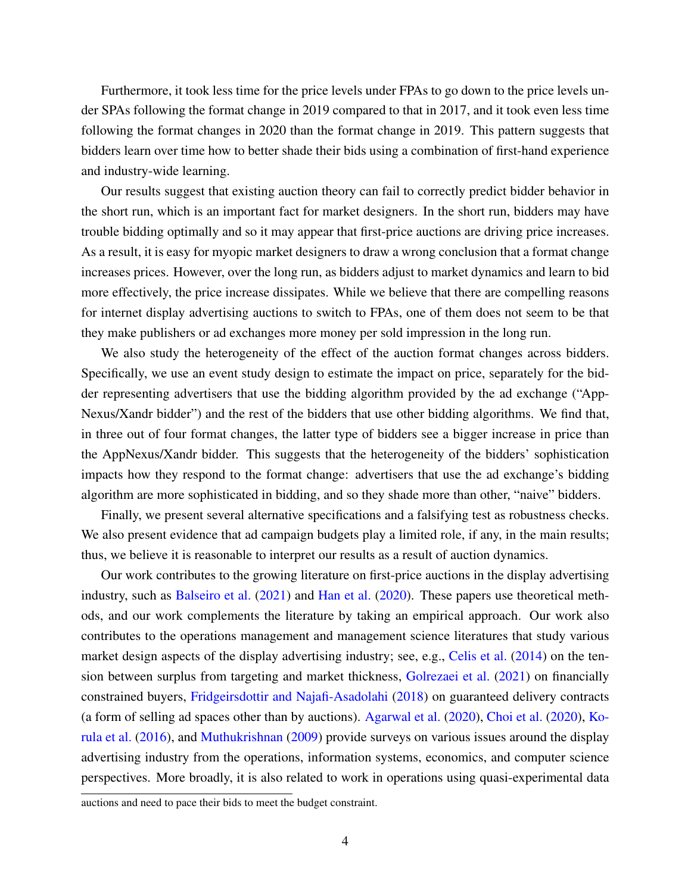Furthermore, it took less time for the price levels under FPAs to go down to the price levels under SPAs following the format change in 2019 compared to that in 2017, and it took even less time following the format changes in 2020 than the format change in 2019. This pattern suggests that bidders learn over time how to better shade their bids using a combination of first-hand experience and industry-wide learning.

Our results suggest that existing auction theory can fail to correctly predict bidder behavior in the short run, which is an important fact for market designers. In the short run, bidders may have trouble bidding optimally and so it may appear that first-price auctions are driving price increases. As a result, it is easy for myopic market designers to draw a wrong conclusion that a format change increases prices. However, over the long run, as bidders adjust to market dynamics and learn to bid more effectively, the price increase dissipates. While we believe that there are compelling reasons for internet display advertising auctions to switch to FPAs, one of them does not seem to be that they make publishers or ad exchanges more money per sold impression in the long run.

We also study the heterogeneity of the effect of the auction format changes across bidders. Specifically, we use an event study design to estimate the impact on price, separately for the bidder representing advertisers that use the bidding algorithm provided by the ad exchange ("App-Nexus/Xandr bidder") and the rest of the bidders that use other bidding algorithms. We find that, in three out of four format changes, the latter type of bidders see a bigger increase in price than the AppNexus/Xandr bidder. This suggests that the heterogeneity of the bidders' sophistication impacts how they respond to the format change: advertisers that use the ad exchange's bidding algorithm are more sophisticated in bidding, and so they shade more than other, "naive" bidders.

Finally, we present several alternative specifications and a falsifying test as robustness checks. We also present evidence that ad campaign budgets play a limited role, if any, in the main results; thus, we believe it is reasonable to interpret our results as a result of auction dynamics.

Our work contributes to the growing literature on first-price auctions in the display advertising industry, such as [Balseiro et al.](#page-22-2) [\(2021\)](#page-22-2) and [Han et al.](#page-23-2) [\(2020\)](#page-23-2). These papers use theoretical methods, and our work complements the literature by taking an empirical approach. Our work also contributes to the operations management and management science literatures that study various market design aspects of the display advertising industry; see, e.g., [Celis et al.](#page-22-3) [\(2014\)](#page-22-3) on the tension between surplus from targeting and market thickness, [Golrezaei et al.](#page-23-3) [\(2021\)](#page-23-3) on financially constrained buyers, [Fridgeirsdottir and Najafi-Asadolahi](#page-23-4) [\(2018\)](#page-23-4) on guaranteed delivery contracts (a form of selling ad spaces other than by auctions). [Agarwal et al.](#page-21-0) [\(2020\)](#page-21-0), [Choi et al.](#page-22-4) [\(2020\)](#page-22-4), [Ko](#page-24-7)[rula et al.](#page-24-7) [\(2016\)](#page-24-7), and [Muthukrishnan](#page-24-8) [\(2009\)](#page-24-8) provide surveys on various issues around the display advertising industry from the operations, information systems, economics, and computer science perspectives. More broadly, it is also related to work in operations using quasi-experimental data

auctions and need to pace their bids to meet the budget constraint.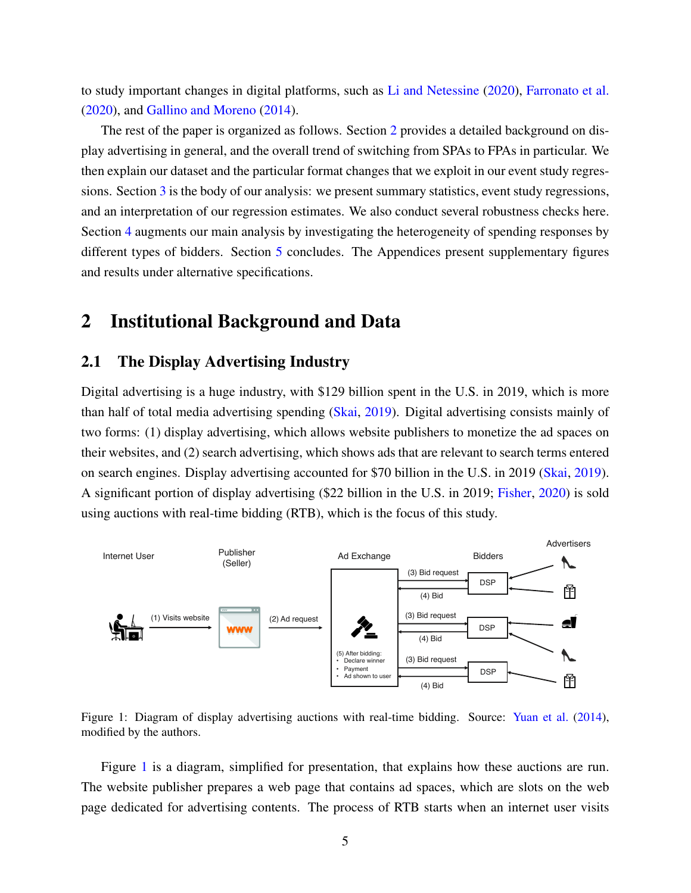to study important changes in digital platforms, such as [Li and Netessine](#page-24-9) [\(2020\)](#page-24-9), [Farronato et al.](#page-23-5) [\(2020\)](#page-23-5), and [Gallino and Moreno](#page-23-6) [\(2014\)](#page-23-6).

The rest of the paper is organized as follows. Section [2](#page-4-1) provides a detailed background on display advertising in general, and the overall trend of switching from SPAs to FPAs in particular. We then explain our dataset and the particular format changes that we exploit in our event study regressions. Section [3](#page-8-0) is the body of our analysis: we present summary statistics, event study regressions, and an interpretation of our regression estimates. We also conduct several robustness checks here. Section [4](#page-19-0) augments our main analysis by investigating the heterogeneity of spending responses by different types of bidders. Section [5](#page-21-1) concludes. The Appendices present supplementary figures and results under alternative specifications.

### <span id="page-4-1"></span>2 Institutional Background and Data

### <span id="page-4-0"></span>2.1 The Display Advertising Industry

Digital advertising is a huge industry, with \$129 billion spent in the U.S. in 2019, which is more than half of total media advertising spending [\(Skai,](#page-24-10) [2019\)](#page-24-10). Digital advertising consists mainly of two forms: (1) display advertising, which allows website publishers to monetize the ad spaces on their websites, and (2) search advertising, which shows ads that are relevant to search terms entered on search engines. Display advertising accounted for \$70 billion in the U.S. in 2019 [\(Skai,](#page-24-10) [2019\)](#page-24-10). A significant portion of display advertising (\$22 billion in the U.S. in 2019; [Fisher,](#page-23-7) [2020\)](#page-23-7) is sold using auctions with real-time bidding (RTB), which is the focus of this study.

<span id="page-4-2"></span>

Figure 1: Diagram of display advertising auctions with real-time bidding. Source: [Yuan et al.](#page-25-1) [\(2014\)](#page-25-1), modified by the authors.

Figure [1](#page-4-2) is a diagram, simplified for presentation, that explains how these auctions are run. The website publisher prepares a web page that contains ad spaces, which are slots on the web page dedicated for advertising contents. The process of RTB starts when an internet user visits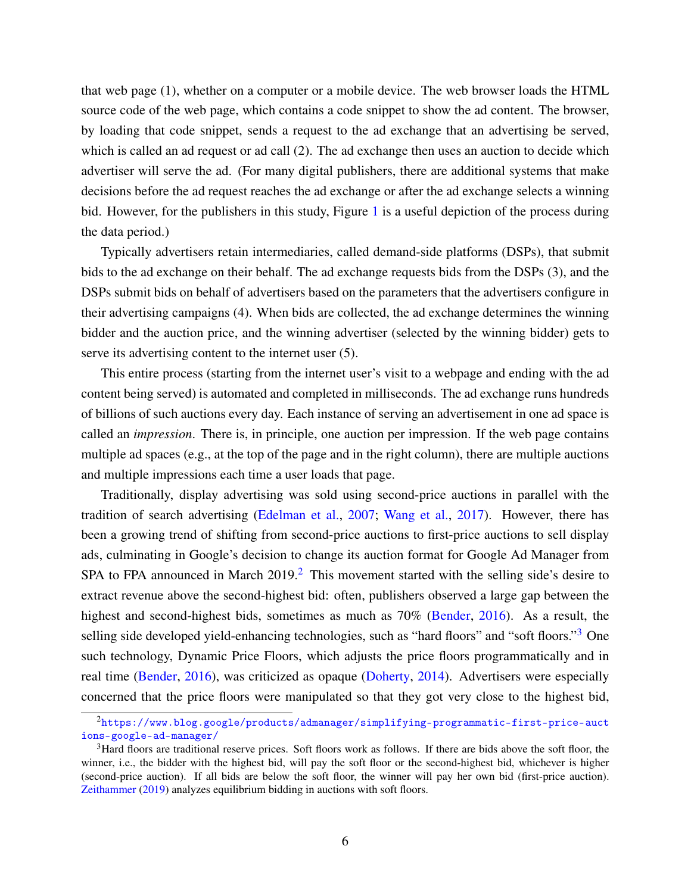that web page (1), whether on a computer or a mobile device. The web browser loads the HTML source code of the web page, which contains a code snippet to show the ad content. The browser, by loading that code snippet, sends a request to the ad exchange that an advertising be served, which is called an ad request or ad call (2). The ad exchange then uses an auction to decide which advertiser will serve the ad. (For many digital publishers, there are additional systems that make decisions before the ad request reaches the ad exchange or after the ad exchange selects a winning bid. However, for the publishers in this study, Figure [1](#page-4-2) is a useful depiction of the process during the data period.)

Typically advertisers retain intermediaries, called demand-side platforms (DSPs), that submit bids to the ad exchange on their behalf. The ad exchange requests bids from the DSPs (3), and the DSPs submit bids on behalf of advertisers based on the parameters that the advertisers configure in their advertising campaigns (4). When bids are collected, the ad exchange determines the winning bidder and the auction price, and the winning advertiser (selected by the winning bidder) gets to serve its advertising content to the internet user  $(5)$ .

This entire process (starting from the internet user's visit to a webpage and ending with the ad content being served) is automated and completed in milliseconds. The ad exchange runs hundreds of billions of such auctions every day. Each instance of serving an advertisement in one ad space is called an *impression*. There is, in principle, one auction per impression. If the web page contains multiple ad spaces (e.g., at the top of the page and in the right column), there are multiple auctions and multiple impressions each time a user loads that page.

Traditionally, display advertising was sold using second-price auctions in parallel with the tradition of search advertising [\(Edelman et al.,](#page-23-8) [2007;](#page-23-8) [Wang et al.,](#page-25-2) [2017\)](#page-25-2). However, there has been a growing trend of shifting from second-price auctions to first-price auctions to sell display ads, culminating in Google's decision to change its auction format for Google Ad Manager from SPA to FPA announced in March  $2019<sup>2</sup>$  $2019<sup>2</sup>$ . This movement started with the selling side's desire to extract revenue above the second-highest bid: often, publishers observed a large gap between the highest and second-highest bids, sometimes as much as 70% [\(Bender,](#page-22-5) [2016\)](#page-22-5). As a result, the selling side developed yield-enhancing technologies, such as "hard floors" and "soft floors."<sup>[3](#page-5-1)</sup> One such technology, Dynamic Price Floors, which adjusts the price floors programmatically and in real time [\(Bender,](#page-22-5) [2016\)](#page-22-5), was criticized as opaque [\(Doherty,](#page-23-9) [2014\)](#page-23-9). Advertisers were especially concerned that the price floors were manipulated so that they got very close to the highest bid,

<span id="page-5-0"></span><sup>2</sup>[https://www.blog.google/products/admanager/simplifying-programmatic-first-price-auct](https://www.blog.google/products/admanager/simplifying-programmatic-first-price-auctions-google-ad-manager/) [ions-google-ad-manager/](https://www.blog.google/products/admanager/simplifying-programmatic-first-price-auctions-google-ad-manager/)

<span id="page-5-1"></span><sup>3</sup>Hard floors are traditional reserve prices. Soft floors work as follows. If there are bids above the soft floor, the winner, i.e., the bidder with the highest bid, will pay the soft floor or the second-highest bid, whichever is higher (second-price auction). If all bids are below the soft floor, the winner will pay her own bid (first-price auction). [Zeithammer](#page-25-3) [\(2019\)](#page-25-3) analyzes equilibrium bidding in auctions with soft floors.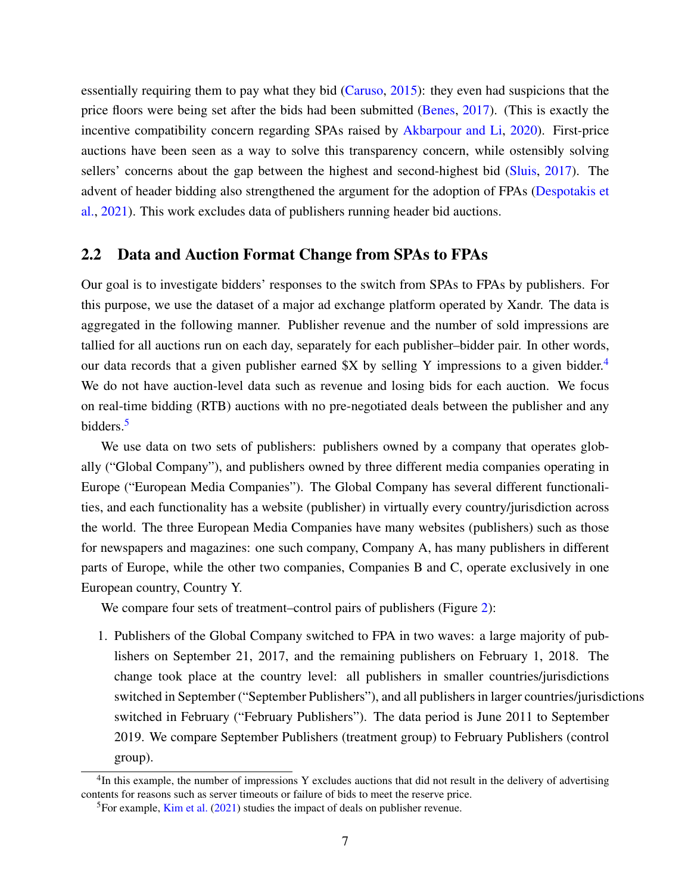essentially requiring them to pay what they bid [\(Caruso,](#page-22-6) [2015\)](#page-22-6): they even had suspicions that the price floors were being set after the bids had been submitted [\(Benes,](#page-22-7) [2017\)](#page-22-7). (This is exactly the incentive compatibility concern regarding SPAs raised by [Akbarpour and Li,](#page-21-2) [2020\)](#page-21-2). First-price auctions have been seen as a way to solve this transparency concern, while ostensibly solving sellers' concerns about the gap between the highest and second-highest bid [\(Sluis,](#page-24-11) [2017\)](#page-24-11). The advent of header bidding also strengthened the argument for the adoption of FPAs [\(Despotakis et](#page-23-10) [al.,](#page-23-10) [2021\)](#page-23-10). This work excludes data of publishers running header bid auctions.

### <span id="page-6-2"></span>2.2 Data and Auction Format Change from SPAs to FPAs

Our goal is to investigate bidders' responses to the switch from SPAs to FPAs by publishers. For this purpose, we use the dataset of a major ad exchange platform operated by Xandr. The data is aggregated in the following manner. Publisher revenue and the number of sold impressions are tallied for all auctions run on each day, separately for each publisher–bidder pair. In other words, our data records that a given publisher earned \$X by selling Y impressions to a given bidder.<sup>[4](#page-6-0)</sup> We do not have auction-level data such as revenue and losing bids for each auction. We focus on real-time bidding (RTB) auctions with no pre-negotiated deals between the publisher and any bidders.[5](#page-6-1)

We use data on two sets of publishers: publishers owned by a company that operates globally ("Global Company"), and publishers owned by three different media companies operating in Europe ("European Media Companies"). The Global Company has several different functionalities, and each functionality has a website (publisher) in virtually every country/jurisdiction across the world. The three European Media Companies have many websites (publishers) such as those for newspapers and magazines: one such company, Company A, has many publishers in different parts of Europe, while the other two companies, Companies B and C, operate exclusively in one European country, Country Y.

We compare four sets of treatment–control pairs of publishers (Figure [2\)](#page-7-0):

1. Publishers of the Global Company switched to FPA in two waves: a large majority of publishers on September 21, 2017, and the remaining publishers on February 1, 2018. The change took place at the country level: all publishers in smaller countries/jurisdictions switched in September ("September Publishers"), and all publishers in larger countries/jurisdictions switched in February ("February Publishers"). The data period is June 2011 to September 2019. We compare September Publishers (treatment group) to February Publishers (control group).

<span id="page-6-0"></span><sup>&</sup>lt;sup>4</sup>In this example, the number of impressions Y excludes auctions that did not result in the delivery of advertising contents for reasons such as server timeouts or failure of bids to meet the reserve price.

<span id="page-6-1"></span> ${}^{5}$ For example, [Kim et al.](#page-24-12) [\(2021\)](#page-24-12) studies the impact of deals on publisher revenue.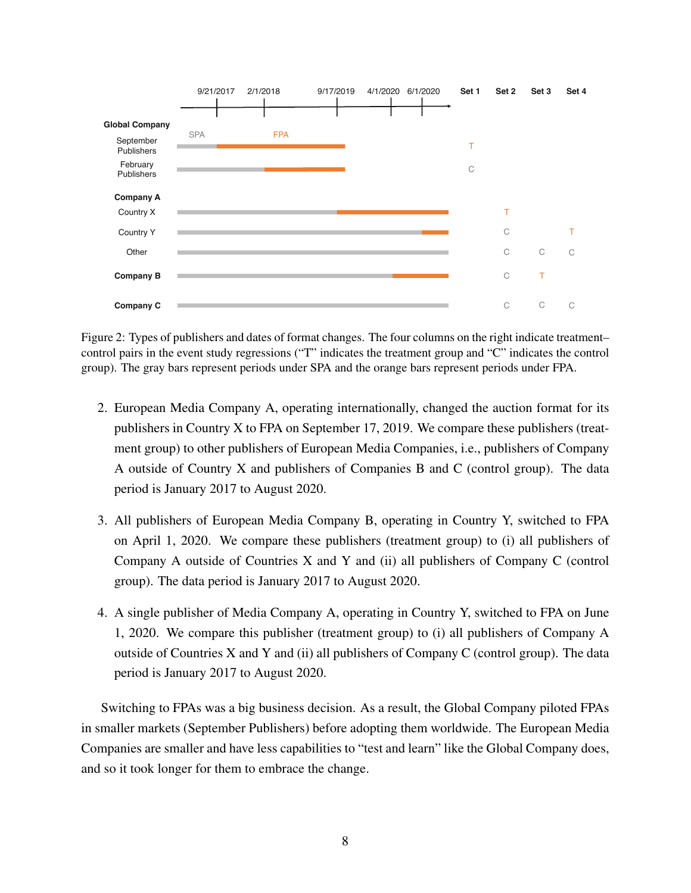<span id="page-7-0"></span>

Figure 2: Types of publishers and dates of format changes. The four columns on the right indicate treatment– control pairs in the event study regressions ("T" indicates the treatment group and "C" indicates the control group). The gray bars represent periods under SPA and the orange bars represent periods under FPA.

- 2. European Media Company A, operating internationally, changed the auction format for its publishers in Country X to FPA on September 17, 2019. We compare these publishers (treatment group) to other publishers of European Media Companies, i.e., publishers of Company A outside of Country X and publishers of Companies B and C (control group). The data period is January 2017 to August 2020.
- 3. All publishers of European Media Company B, operating in Country Y, switched to FPA on April 1, 2020. We compare these publishers (treatment group) to (i) all publishers of Company A outside of Countries X and Y and (ii) all publishers of Company C (control group). The data period is January 2017 to August 2020.
- 4. A single publisher of Media Company A, operating in Country Y, switched to FPA on June 1, 2020. We compare this publisher (treatment group) to (i) all publishers of Company A outside of Countries X and Y and (ii) all publishers of Company C (control group). The data period is January 2017 to August 2020.

Switching to FPAs was a big business decision. As a result, the Global Company piloted FPAs in smaller markets (September Publishers) before adopting them worldwide. The European Media Companies are smaller and have less capabilities to "test and learn" like the Global Company does, and so it took longer for them to embrace the change.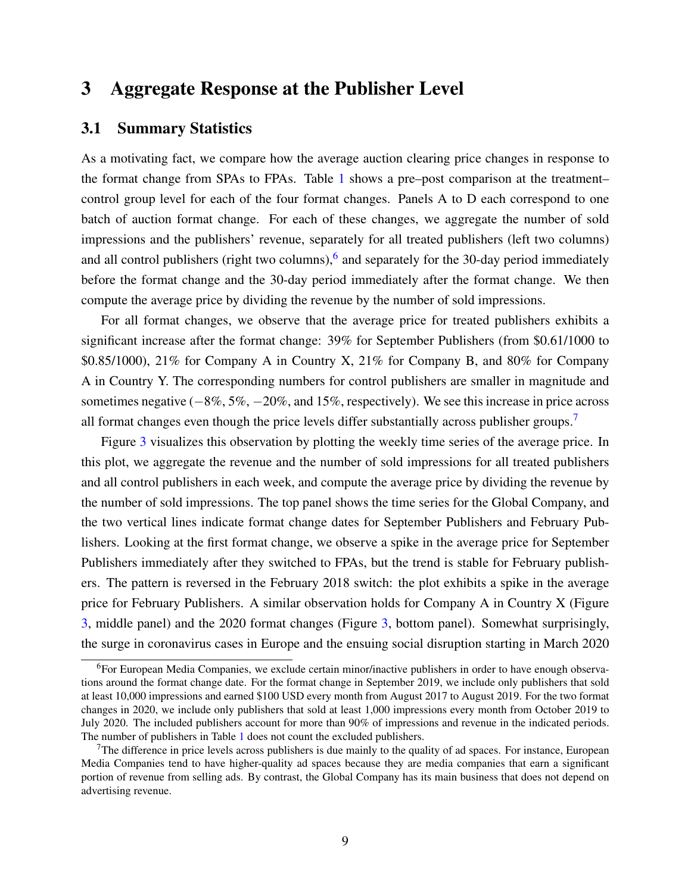### <span id="page-8-0"></span>3 Aggregate Response at the Publisher Level

### 3.1 Summary Statistics

As a motivating fact, we compare how the average auction clearing price changes in response to the format change from SPAs to FPAs. Table [1](#page-10-0) shows a pre–post comparison at the treatment– control group level for each of the four format changes. Panels A to D each correspond to one batch of auction format change. For each of these changes, we aggregate the number of sold impressions and the publishers' revenue, separately for all treated publishers (left two columns) and all control publishers (right two columns),  $6$  and separately for the 30-day period immediately before the format change and the 30-day period immediately after the format change. We then compute the average price by dividing the revenue by the number of sold impressions.

For all format changes, we observe that the average price for treated publishers exhibits a significant increase after the format change: 39% for September Publishers (from \$0.61/1000 to \$0.85/1000), 21% for Company A in Country X, 21% for Company B, and 80% for Company A in Country Y. The corresponding numbers for control publishers are smaller in magnitude and sometimes negative (−8%, 5%, −20%, and 15%, respectively). We see this increase in price across all format changes even though the price levels differ substantially across publisher groups.<sup>[7](#page-8-2)</sup>

Figure [3](#page-11-0) visualizes this observation by plotting the weekly time series of the average price. In this plot, we aggregate the revenue and the number of sold impressions for all treated publishers and all control publishers in each week, and compute the average price by dividing the revenue by the number of sold impressions. The top panel shows the time series for the Global Company, and the two vertical lines indicate format change dates for September Publishers and February Publishers. Looking at the first format change, we observe a spike in the average price for September Publishers immediately after they switched to FPAs, but the trend is stable for February publishers. The pattern is reversed in the February 2018 switch: the plot exhibits a spike in the average price for February Publishers. A similar observation holds for Company A in Country X (Figure [3,](#page-11-0) middle panel) and the 2020 format changes (Figure [3,](#page-11-0) bottom panel). Somewhat surprisingly, the surge in coronavirus cases in Europe and the ensuing social disruption starting in March 2020

<span id="page-8-1"></span><sup>6</sup>For European Media Companies, we exclude certain minor/inactive publishers in order to have enough observations around the format change date. For the format change in September 2019, we include only publishers that sold at least 10,000 impressions and earned \$100 USD every month from August 2017 to August 2019. For the two format changes in 2020, we include only publishers that sold at least 1,000 impressions every month from October 2019 to July 2020. The included publishers account for more than 90% of impressions and revenue in the indicated periods. The number of publishers in Table [1](#page-10-0) does not count the excluded publishers.

<span id="page-8-2"></span> $<sup>7</sup>$ The difference in price levels across publishers is due mainly to the quality of ad spaces. For instance, European</sup> Media Companies tend to have higher-quality ad spaces because they are media companies that earn a significant portion of revenue from selling ads. By contrast, the Global Company has its main business that does not depend on advertising revenue.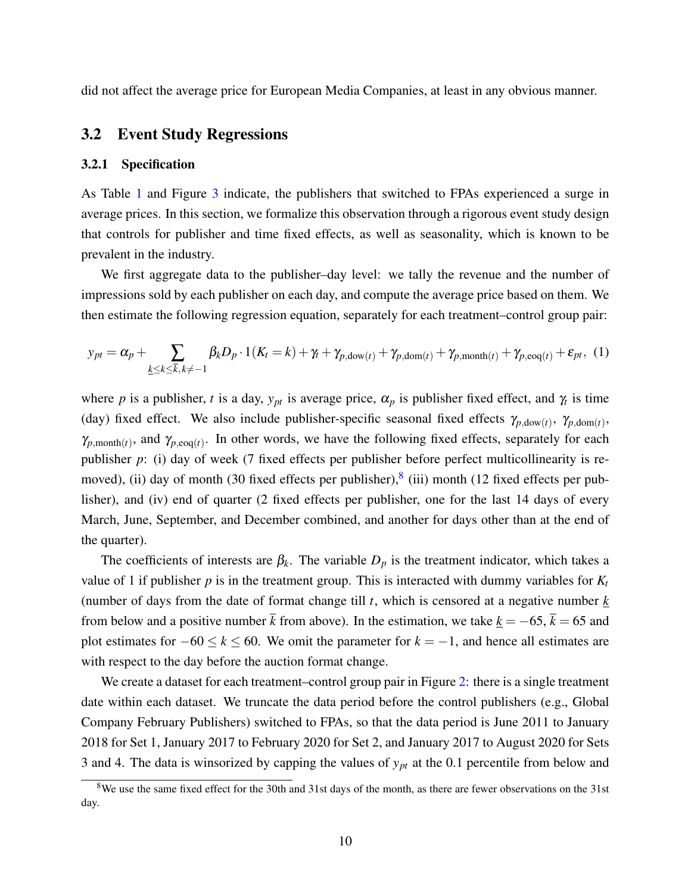did not affect the average price for European Media Companies, at least in any obvious manner.

#### 3.2 Event Study Regressions

#### 3.2.1 Specification

As Table [1](#page-10-0) and Figure [3](#page-11-0) indicate, the publishers that switched to FPAs experienced a surge in average prices. In this section, we formalize this observation through a rigorous event study design that controls for publisher and time fixed effects, as well as seasonality, which is known to be prevalent in the industry.

We first aggregate data to the publisher–day level: we tally the revenue and the number of impressions sold by each publisher on each day, and compute the average price based on them. We then estimate the following regression equation, separately for each treatment–control group pair:

<span id="page-9-1"></span>
$$
y_{pt} = \alpha_p + \sum_{\underline{k} \leq k \leq \overline{k}, \, k \neq -1} \beta_k D_p \cdot 1(K_t = k) + \gamma_t + \gamma_{p, \text{down}(t)} + \gamma_{p, \text{dom}(t)} + \gamma_{p, \text{month}(t)} + \gamma_{p, \text{eog}(t)} + \varepsilon_{pt}, \tag{1}
$$

where *p* is a publisher, *t* is a day,  $y_{pt}$  is average price,  $\alpha_p$  is publisher fixed effect, and  $\gamma_t$  is time (day) fixed effect. We also include publisher-specific seasonal fixed effects  $\gamma_{p,\text{down}(t)}$ ,  $\gamma_{p,\text{dom}(t)}$ ,  $\gamma_{p,\text{month}(t)}$ , and  $\gamma_{p,\text{evo}(t)}$ . In other words, we have the following fixed effects, separately for each publisher *p*: (i) day of week (7 fixed effects per publisher before perfect multicollinearity is re-moved), (ii) day of month (30 fixed effects per publisher),<sup>[8](#page-9-0)</sup> (iii) month (12 fixed effects per publisher), and (iv) end of quarter (2 fixed effects per publisher, one for the last 14 days of every March, June, September, and December combined, and another for days other than at the end of the quarter).

The coefficients of interests are  $\beta_k$ . The variable  $D_p$  is the treatment indicator, which takes a value of 1 if publisher  $p$  is in the treatment group. This is interacted with dummy variables for  $K_t$ (number of days from the date of format change till *t*, which is censored at a negative number *k* from below and a positive number  $\bar{k}$  from above). In the estimation, we take  $k = -65$ ,  $\bar{k} = 65$  and plot estimates for  $-60 \le k \le 60$ . We omit the parameter for  $k = -1$ , and hence all estimates are with respect to the day before the auction format change.

We create a dataset for each treatment–control group pair in Figure [2:](#page-7-0) there is a single treatment date within each dataset. We truncate the data period before the control publishers (e.g., Global Company February Publishers) switched to FPAs, so that the data period is June 2011 to January 2018 for Set 1, January 2017 to February 2020 for Set 2, and January 2017 to August 2020 for Sets 3 and 4. The data is winsorized by capping the values of *ypt* at the 0.1 percentile from below and

<span id="page-9-0"></span><sup>&</sup>lt;sup>8</sup>We use the same fixed effect for the 30th and 31st days of the month, as there are fewer observations on the 31st day.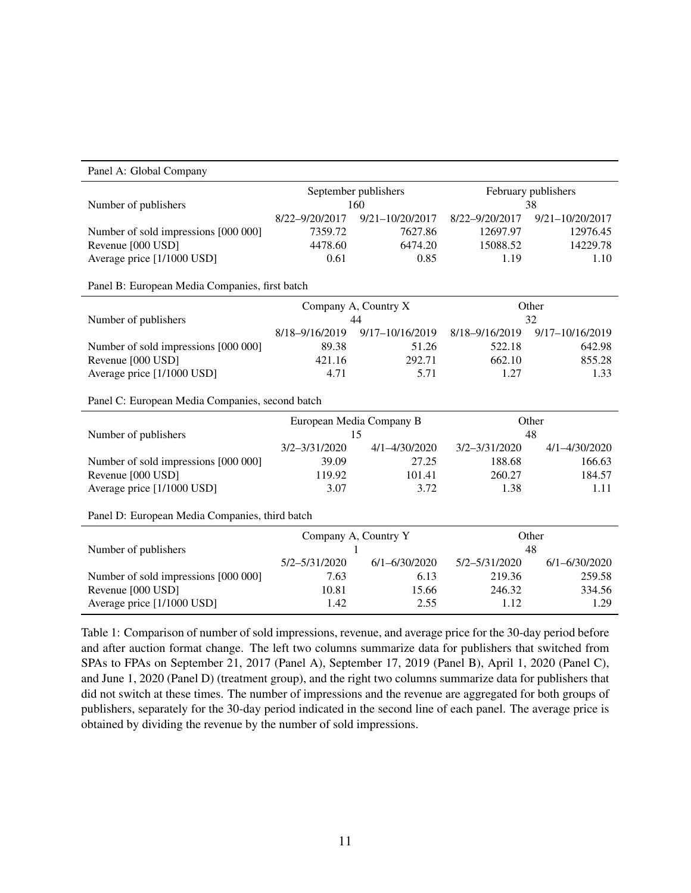<span id="page-10-0"></span>

| Panel A: Global Company                         |                                |                   |                           |                   |
|-------------------------------------------------|--------------------------------|-------------------|---------------------------|-------------------|
|                                                 | September publishers<br>160    |                   | February publishers<br>38 |                   |
| Number of publishers                            |                                |                   |                           |                   |
|                                                 | 8/22-9/20/2017                 | 9/21-10/20/2017   | 8/22-9/20/2017            | 9/21-10/20/2017   |
| Number of sold impressions [000 000]            | 7359.72                        | 7627.86           | 12697.97                  | 12976.45          |
| Revenue [000 USD]                               | 4478.60                        | 6474.20           | 15088.52                  | 14229.78          |
| Average price [1/1000 USD]                      | 0.61                           | 0.85              | 1.19                      | 1.10              |
| Panel B: European Media Companies, first batch  |                                |                   |                           |                   |
|                                                 | Company A, Country X<br>44     |                   | Other<br>32               |                   |
| Number of publishers                            |                                |                   |                           |                   |
|                                                 | 8/18-9/16/2019                 | 9/17-10/16/2019   | 8/18-9/16/2019            | 9/17-10/16/2019   |
| Number of sold impressions [000 000]            | 89.38                          | 51.26             | 522.18                    | 642.98            |
| Revenue [000 USD]                               | 421.16                         | 292.71            | 662.10                    | 855.28            |
| Average price [1/1000 USD]                      | 4.71                           | 5.71              | 1.27                      | 1.33              |
| Panel C: European Media Companies, second batch |                                |                   |                           |                   |
|                                                 | European Media Company B<br>15 |                   | Other                     |                   |
| Number of publishers                            |                                |                   | 48                        |                   |
|                                                 | 3/2-3/31/2020                  | 4/1-4/30/2020     | 3/2-3/31/2020             | 4/1-4/30/2020     |
| Number of sold impressions [000 000]            | 39.09                          | 27.25             | 188.68                    | 166.63            |
| Revenue [000 USD]                               | 119.92                         | 101.41            | 260.27                    | 184.57            |
| Average price [1/1000 USD]                      | 3.07                           | 3.72              | 1.38                      | 1.11              |
| Panel D: European Media Companies, third batch  |                                |                   |                           |                   |
|                                                 | Company A, Country Y<br>1      |                   | Other                     |                   |
| Number of publishers                            |                                |                   | 48                        |                   |
|                                                 | 5/2-5/31/2020                  | $6/1 - 6/30/2020$ | 5/2-5/31/2020             | $6/1 - 6/30/2020$ |
| Number of sold impressions [000 000]            | 7.63                           | 6.13              | 219.36                    | 259.58            |
| Revenue [000 USD]                               | 10.81                          | 15.66             | 246.32                    | 334.56            |
| Average price [1/1000 USD]                      | 1.42                           | 2.55              | 1.12                      | 1.29              |

Table 1: Comparison of number of sold impressions, revenue, and average price for the 30-day period before and after auction format change. The left two columns summarize data for publishers that switched from SPAs to FPAs on September 21, 2017 (Panel A), September 17, 2019 (Panel B), April 1, 2020 (Panel C), and June 1, 2020 (Panel D) (treatment group), and the right two columns summarize data for publishers that did not switch at these times. The number of impressions and the revenue are aggregated for both groups of publishers, separately for the 30-day period indicated in the second line of each panel. The average price is obtained by dividing the revenue by the number of sold impressions.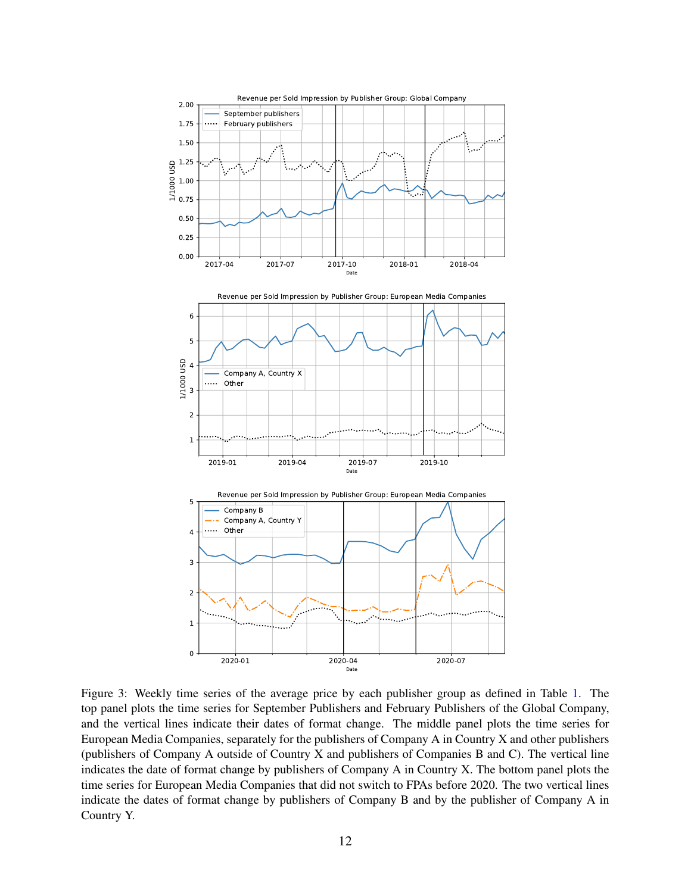<span id="page-11-0"></span>

Figure 3: Weekly time series of the average price by each publisher group as defined in Table [1.](#page-10-0) The top panel plots the time series for September Publishers and February Publishers of the Global Company, and the vertical lines indicate their dates of format change. The middle panel plots the time series for European Media Companies, separately for the publishers of Company A in Country X and other publishers (publishers of Company A outside of Country X and publishers of Companies B and C). The vertical line indicates the date of format change by publishers of Company A in Country X. The bottom panel plots the time series for European Media Companies that did not switch to FPAs before 2020. The two vertical lines indicate the dates of format change by publishers of Company B and by the publisher of Company A in Country Y.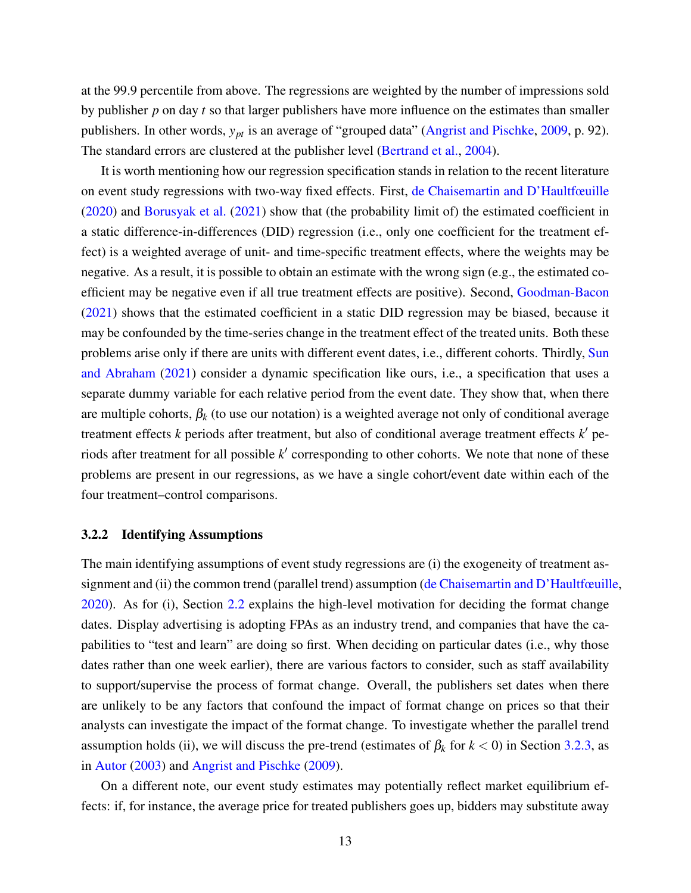at the 99.9 percentile from above. The regressions are weighted by the number of impressions sold by publisher *p* on day *t* so that larger publishers have more influence on the estimates than smaller publishers. In other words, *ypt* is an average of "grouped data" [\(Angrist and Pischke,](#page-21-3) [2009,](#page-21-3) p. 92). The standard errors are clustered at the publisher level [\(Bertrand et al.,](#page-22-8) [2004\)](#page-22-8).

It is worth mentioning how our regression specification stands in relation to the recent literature on event study regressions with two-way fixed effects. First, [de Chaisemartin and D'Haultfœuille](#page-22-9) [\(2020\)](#page-22-9) and [Borusyak et al.](#page-22-10) [\(2021\)](#page-22-10) show that (the probability limit of) the estimated coefficient in a static difference-in-differences (DID) regression (i.e., only one coefficient for the treatment effect) is a weighted average of unit- and time-specific treatment effects, where the weights may be negative. As a result, it is possible to obtain an estimate with the wrong sign (e.g., the estimated coefficient may be negative even if all true treatment effects are positive). Second, [Goodman-Bacon](#page-23-11) [\(2021\)](#page-23-11) shows that the estimated coefficient in a static DID regression may be biased, because it may be confounded by the time-series change in the treatment effect of the treated units. Both these problems arise only if there are units with different event dates, i.e., different cohorts. Thirdly, [Sun](#page-24-13) [and Abraham](#page-24-13) [\(2021\)](#page-24-13) consider a dynamic specification like ours, i.e., a specification that uses a separate dummy variable for each relative period from the event date. They show that, when there are multiple cohorts,  $\beta_k$  (to use our notation) is a weighted average not only of conditional average treatment effects  $k$  periods after treatment, but also of conditional average treatment effects  $k'$  periods after treatment for all possible k' corresponding to other cohorts. We note that none of these problems are present in our regressions, as we have a single cohort/event date within each of the four treatment–control comparisons.

#### 3.2.2 Identifying Assumptions

The main identifying assumptions of event study regressions are (i) the exogeneity of treatment as-signment and (ii) the common trend (parallel trend) assumption [\(de Chaisemartin and D'Haultfœuille,](#page-22-9) [2020\)](#page-22-9). As for (i), Section [2.2](#page-6-2) explains the high-level motivation for deciding the format change dates. Display advertising is adopting FPAs as an industry trend, and companies that have the capabilities to "test and learn" are doing so first. When deciding on particular dates (i.e., why those dates rather than one week earlier), there are various factors to consider, such as staff availability to support/supervise the process of format change. Overall, the publishers set dates when there are unlikely to be any factors that confound the impact of format change on prices so that their analysts can investigate the impact of the format change. To investigate whether the parallel trend assumption holds (ii), we will discuss the pre-trend (estimates of  $\beta_k$  for  $k < 0$ ) in Section [3.2.3,](#page-13-0) as in [Autor](#page-22-11) [\(2003\)](#page-22-11) and [Angrist and Pischke](#page-21-3) [\(2009\)](#page-21-3).

On a different note, our event study estimates may potentially reflect market equilibrium effects: if, for instance, the average price for treated publishers goes up, bidders may substitute away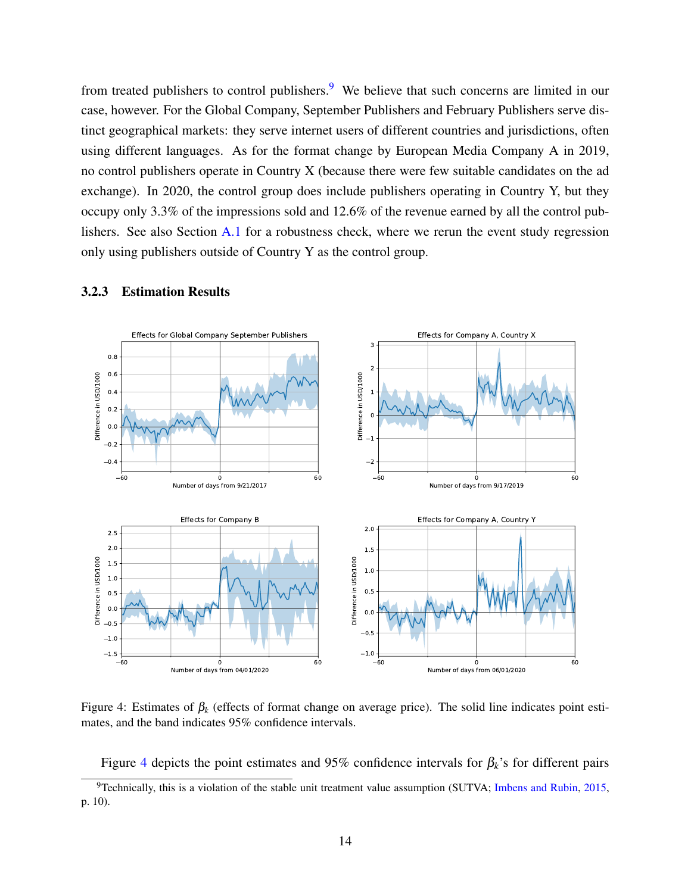from treated publishers to control publishers.<sup>[9](#page-13-1)</sup> We believe that such concerns are limited in our case, however. For the Global Company, September Publishers and February Publishers serve distinct geographical markets: they serve internet users of different countries and jurisdictions, often using different languages. As for the format change by European Media Company A in 2019, no control publishers operate in Country X (because there were few suitable candidates on the ad exchange). In 2020, the control group does include publishers operating in Country Y, but they occupy only 3.3% of the impressions sold and 12.6% of the revenue earned by all the control publishers. See also Section [A.1](#page-26-0) for a robustness check, where we rerun the event study regression only using publishers outside of Country Y as the control group.

<span id="page-13-2"></span>

#### <span id="page-13-0"></span>3.2.3 Estimation Results

Figure 4: Estimates of  $\beta_k$  (effects of format change on average price). The solid line indicates point estimates, and the band indicates 95% confidence intervals.

<span id="page-13-1"></span>Figure [4](#page-13-2) depicts the point estimates and 95% confidence intervals for  $\beta_k$ 's for different pairs

<sup>&</sup>lt;sup>9</sup>Technically, this is a violation of the stable unit treatment value assumption (SUTVA; [Imbens and Rubin,](#page-23-12) [2015,](#page-23-12) p. 10).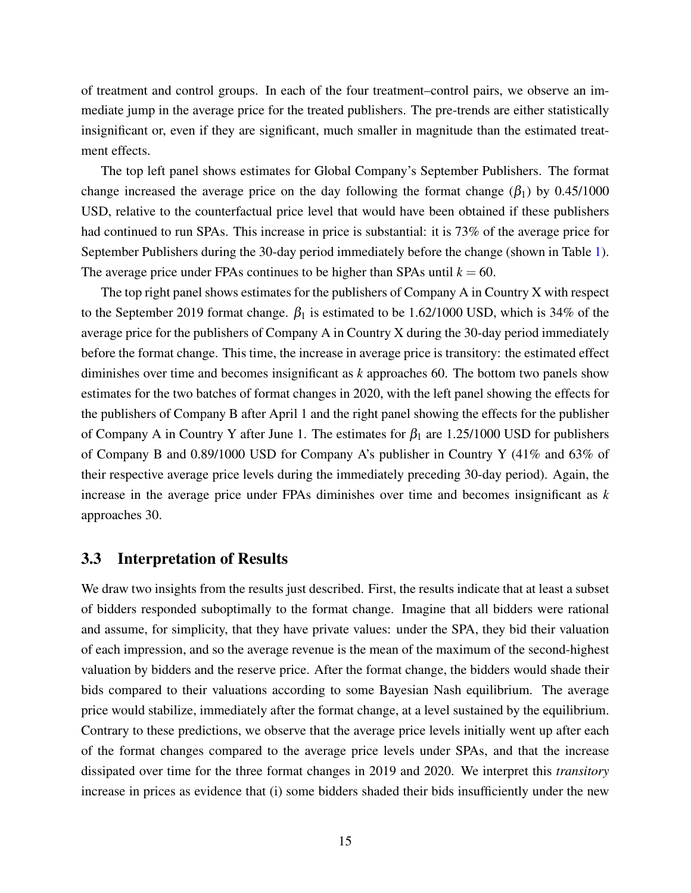of treatment and control groups. In each of the four treatment–control pairs, we observe an immediate jump in the average price for the treated publishers. The pre-trends are either statistically insignificant or, even if they are significant, much smaller in magnitude than the estimated treatment effects.

The top left panel shows estimates for Global Company's September Publishers. The format change increased the average price on the day following the format change  $(\beta_1)$  by 0.45/1000 USD, relative to the counterfactual price level that would have been obtained if these publishers had continued to run SPAs. This increase in price is substantial: it is 73% of the average price for September Publishers during the 30-day period immediately before the change (shown in Table [1\)](#page-10-0). The average price under FPAs continues to be higher than SPAs until  $k = 60$ .

The top right panel shows estimates for the publishers of Company A in Country X with respect to the September 2019 format change.  $β_1$  is estimated to be 1.62/1000 USD, which is 34% of the average price for the publishers of Company A in Country X during the 30-day period immediately before the format change. This time, the increase in average price is transitory: the estimated effect diminishes over time and becomes insignificant as *k* approaches 60. The bottom two panels show estimates for the two batches of format changes in 2020, with the left panel showing the effects for the publishers of Company B after April 1 and the right panel showing the effects for the publisher of Company A in Country Y after June 1. The estimates for  $\beta_1$  are 1.25/1000 USD for publishers of Company B and 0.89/1000 USD for Company A's publisher in Country Y (41% and 63% of their respective average price levels during the immediately preceding 30-day period). Again, the increase in the average price under FPAs diminishes over time and becomes insignificant as *k* approaches 30.

#### 3.3 Interpretation of Results

We draw two insights from the results just described. First, the results indicate that at least a subset of bidders responded suboptimally to the format change. Imagine that all bidders were rational and assume, for simplicity, that they have private values: under the SPA, they bid their valuation of each impression, and so the average revenue is the mean of the maximum of the second-highest valuation by bidders and the reserve price. After the format change, the bidders would shade their bids compared to their valuations according to some Bayesian Nash equilibrium. The average price would stabilize, immediately after the format change, at a level sustained by the equilibrium. Contrary to these predictions, we observe that the average price levels initially went up after each of the format changes compared to the average price levels under SPAs, and that the increase dissipated over time for the three format changes in 2019 and 2020. We interpret this *transitory* increase in prices as evidence that (i) some bidders shaded their bids insufficiently under the new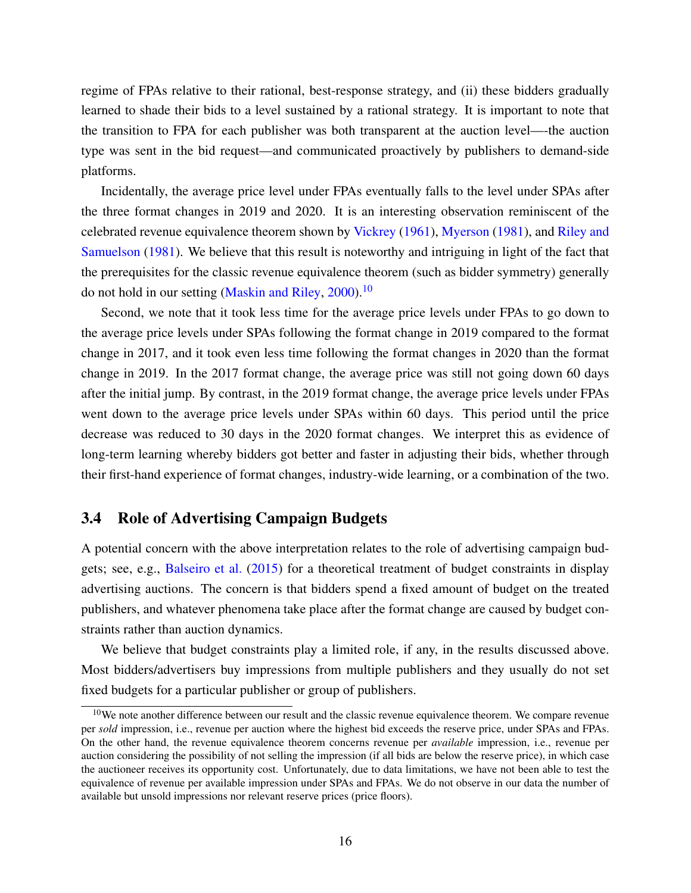regime of FPAs relative to their rational, best-response strategy, and (ii) these bidders gradually learned to shade their bids to a level sustained by a rational strategy. It is important to note that the transition to FPA for each publisher was both transparent at the auction level—-the auction type was sent in the bid request—and communicated proactively by publishers to demand-side platforms.

Incidentally, the average price level under FPAs eventually falls to the level under SPAs after the three format changes in 2019 and 2020. It is an interesting observation reminiscent of the celebrated revenue equivalence theorem shown by [Vickrey](#page-25-0) [\(1961\)](#page-25-0), [Myerson](#page-24-4) [\(1981\)](#page-24-4), and [Riley and](#page-24-5) [Samuelson](#page-24-5) [\(1981\)](#page-24-5). We believe that this result is noteworthy and intriguing in light of the fact that the prerequisites for the classic revenue equivalence theorem (such as bidder symmetry) generally do not hold in our setting [\(Maskin and Riley,](#page-24-6) [2000\)](#page-24-6).<sup>[10](#page-15-0)</sup>

Second, we note that it took less time for the average price levels under FPAs to go down to the average price levels under SPAs following the format change in 2019 compared to the format change in 2017, and it took even less time following the format changes in 2020 than the format change in 2019. In the 2017 format change, the average price was still not going down 60 days after the initial jump. By contrast, in the 2019 format change, the average price levels under FPAs went down to the average price levels under SPAs within 60 days. This period until the price decrease was reduced to 30 days in the 2020 format changes. We interpret this as evidence of long-term learning whereby bidders got better and faster in adjusting their bids, whether through their first-hand experience of format changes, industry-wide learning, or a combination of the two.

### 3.4 Role of Advertising Campaign Budgets

A potential concern with the above interpretation relates to the role of advertising campaign budgets; see, e.g., [Balseiro et al.](#page-22-12) [\(2015\)](#page-22-12) for a theoretical treatment of budget constraints in display advertising auctions. The concern is that bidders spend a fixed amount of budget on the treated publishers, and whatever phenomena take place after the format change are caused by budget constraints rather than auction dynamics.

We believe that budget constraints play a limited role, if any, in the results discussed above. Most bidders/advertisers buy impressions from multiple publishers and they usually do not set fixed budgets for a particular publisher or group of publishers.

<span id="page-15-0"></span><sup>&</sup>lt;sup>10</sup>We note another difference between our result and the classic revenue equivalence theorem. We compare revenue per *sold* impression, i.e., revenue per auction where the highest bid exceeds the reserve price, under SPAs and FPAs. On the other hand, the revenue equivalence theorem concerns revenue per *available* impression, i.e., revenue per auction considering the possibility of not selling the impression (if all bids are below the reserve price), in which case the auctioneer receives its opportunity cost. Unfortunately, due to data limitations, we have not been able to test the equivalence of revenue per available impression under SPAs and FPAs. We do not observe in our data the number of available but unsold impressions nor relevant reserve prices (price floors).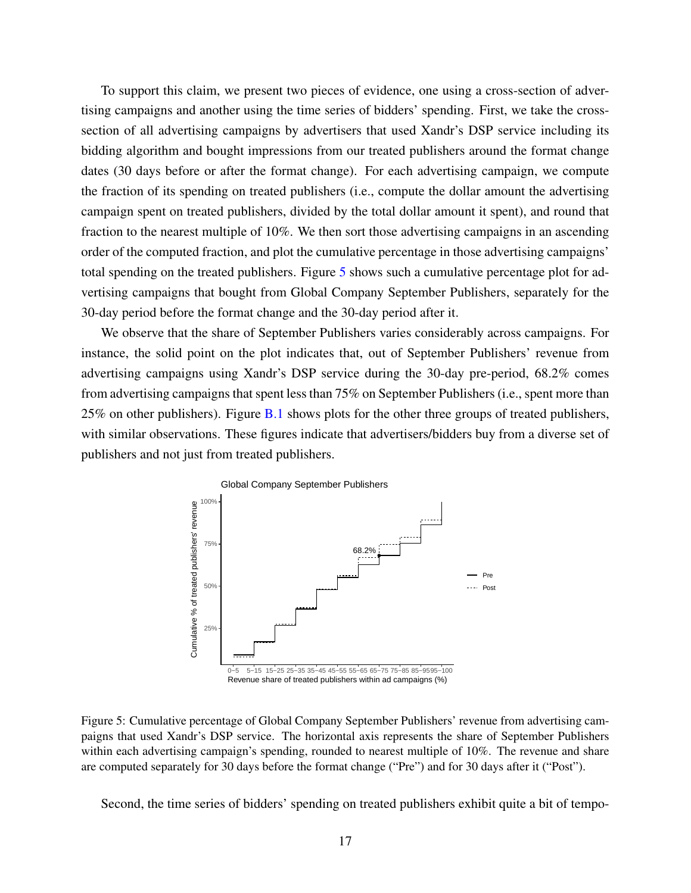To support this claim, we present two pieces of evidence, one using a cross-section of advertising campaigns and another using the time series of bidders' spending. First, we take the crosssection of all advertising campaigns by advertisers that used Xandr's DSP service including its bidding algorithm and bought impressions from our treated publishers around the format change dates (30 days before or after the format change). For each advertising campaign, we compute the fraction of its spending on treated publishers (i.e., compute the dollar amount the advertising campaign spent on treated publishers, divided by the total dollar amount it spent), and round that fraction to the nearest multiple of 10%. We then sort those advertising campaigns in an ascending order of the computed fraction, and plot the cumulative percentage in those advertising campaigns' total spending on the treated publishers. Figure [5](#page-16-0) shows such a cumulative percentage plot for advertising campaigns that bought from Global Company September Publishers, separately for the 30-day period before the format change and the 30-day period after it.

We observe that the share of September Publishers varies considerably across campaigns. For instance, the solid point on the plot indicates that, out of September Publishers' revenue from advertising campaigns using Xandr's DSP service during the 30-day pre-period, 68.2% comes from advertising campaigns that spent less than 75% on September Publishers (i.e., spent more than 25% on other publishers). Figure [B.1](#page-31-0) shows plots for the other three groups of treated publishers, with similar observations. These figures indicate that advertisers/bidders buy from a diverse set of publishers and not just from treated publishers.

<span id="page-16-0"></span>

Figure 5: Cumulative percentage of Global Company September Publishers' revenue from advertising campaigns that used Xandr's DSP service. The horizontal axis represents the share of September Publishers within each advertising campaign's spending, rounded to nearest multiple of 10%. The revenue and share are computed separately for 30 days before the format change ("Pre") and for 30 days after it ("Post").

Second, the time series of bidders' spending on treated publishers exhibit quite a bit of tempo-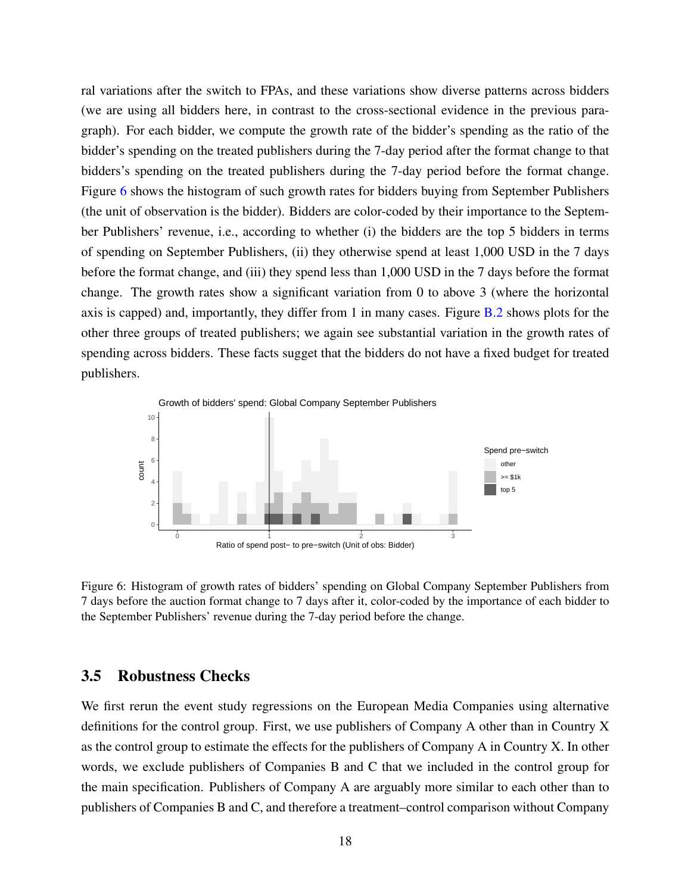ral variations after the switch to FPAs, and these variations show diverse patterns across bidders (we are using all bidders here, in contrast to the cross-sectional evidence in the previous paragraph). For each bidder, we compute the growth rate of the bidder's spending as the ratio of the bidder's spending on the treated publishers during the 7-day period after the format change to that bidders's spending on the treated publishers during the 7-day period before the format change. Figure [6](#page-17-0) shows the histogram of such growth rates for bidders buying from September Publishers (the unit of observation is the bidder). Bidders are color-coded by their importance to the September Publishers' revenue, i.e., according to whether (i) the bidders are the top 5 bidders in terms of spending on September Publishers, (ii) they otherwise spend at least 1,000 USD in the 7 days before the format change, and (iii) they spend less than 1,000 USD in the 7 days before the format change. The growth rates show a significant variation from 0 to above 3 (where the horizontal axis is capped) and, importantly, they differ from 1 in many cases. Figure [B.2](#page-32-0) shows plots for the other three groups of treated publishers; we again see substantial variation in the growth rates of spending across bidders. These facts sugget that the bidders do not have a fixed budget for treated publishers.

<span id="page-17-0"></span>

Figure 6: Histogram of growth rates of bidders' spending on Global Company September Publishers from 7 days before the auction format change to 7 days after it, color-coded by the importance of each bidder to the September Publishers' revenue during the 7-day period before the change.

#### 3.5 Robustness Checks

We first rerun the event study regressions on the European Media Companies using alternative definitions for the control group. First, we use publishers of Company A other than in Country X as the control group to estimate the effects for the publishers of Company A in Country X. In other words, we exclude publishers of Companies B and C that we included in the control group for the main specification. Publishers of Company A are arguably more similar to each other than to publishers of Companies B and C, and therefore a treatment–control comparison without Company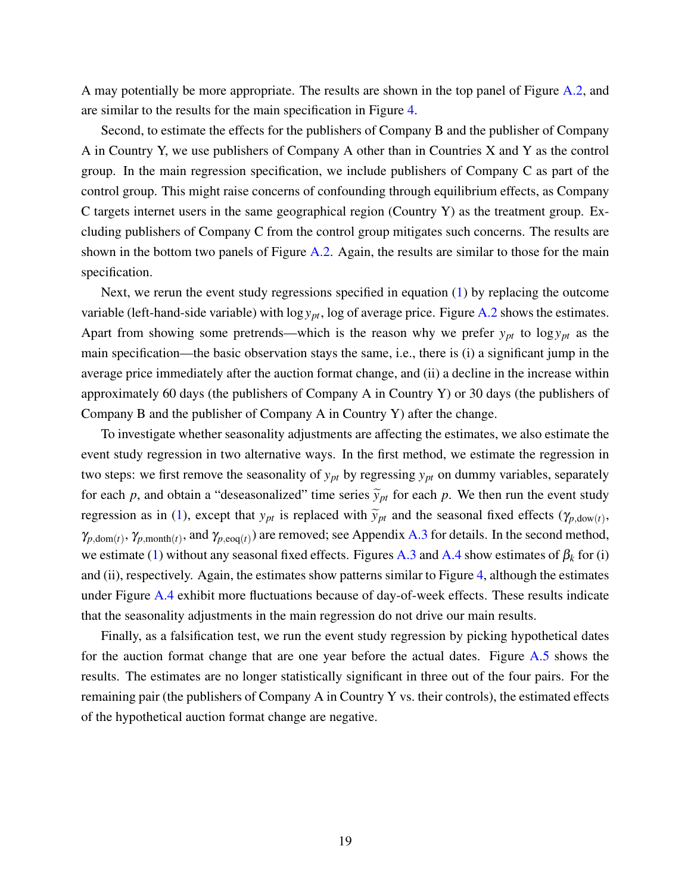A may potentially be more appropriate. The results are shown in the top panel of Figure [A.2,](#page-27-0) and are similar to the results for the main specification in Figure [4.](#page-13-2)

Second, to estimate the effects for the publishers of Company B and the publisher of Company A in Country Y, we use publishers of Company A other than in Countries X and Y as the control group. In the main regression specification, we include publishers of Company C as part of the control group. This might raise concerns of confounding through equilibrium effects, as Company C targets internet users in the same geographical region (Country Y) as the treatment group. Excluding publishers of Company C from the control group mitigates such concerns. The results are shown in the bottom two panels of Figure [A.2.](#page-27-0) Again, the results are similar to those for the main specification.

Next, we rerun the event study regressions specified in equation [\(1\)](#page-9-1) by replacing the outcome variable (left-hand-side variable) with  $\log y_{pt}$ , log of average price. Figure [A.2](#page-27-0) shows the estimates. Apart from showing some pretrends—which is the reason why we prefer  $y_{pt}$  to  $\log y_{pt}$  as the main specification—the basic observation stays the same, i.e., there is (i) a significant jump in the average price immediately after the auction format change, and (ii) a decline in the increase within approximately 60 days (the publishers of Company A in Country Y) or 30 days (the publishers of Company B and the publisher of Company A in Country Y) after the change.

To investigate whether seasonality adjustments are affecting the estimates, we also estimate the event study regression in two alternative ways. In the first method, we estimate the regression in two steps: we first remove the seasonality of  $y_{pt}$  by regressing  $y_{pt}$  on dummy variables, separately for each *p*, and obtain a "deseasonalized" time series  $\tilde{y}_{pt}$  for each *p*. We then run the event study regression as in [\(1\)](#page-9-1), except that  $y_{pt}$  is replaced with  $\tilde{y}_{pt}$  and the seasonal fixed effects ( $\gamma_{p,\text{dow}(t)}$ )  $\gamma_{p,\text{dom}(t)}, \gamma_{p,\text{month}(t)}$ , and  $\gamma_{p,\text{eog}(t)}$  are removed; see Appendix [A.3](#page-28-0) for details. In the second method, we estimate [\(1\)](#page-9-1) without any seasonal fixed effects. Figures [A.3](#page-28-1) and [A.4](#page-29-0) show estimates of  $\beta_k$  for (i) and (ii), respectively. Again, the estimates show patterns similar to Figure [4,](#page-13-2) although the estimates under Figure [A.4](#page-29-0) exhibit more fluctuations because of day-of-week effects. These results indicate that the seasonality adjustments in the main regression do not drive our main results.

Finally, as a falsification test, we run the event study regression by picking hypothetical dates for the auction format change that are one year before the actual dates. Figure [A.5](#page-30-0) shows the results. The estimates are no longer statistically significant in three out of the four pairs. For the remaining pair (the publishers of Company A in Country Y vs. their controls), the estimated effects of the hypothetical auction format change are negative.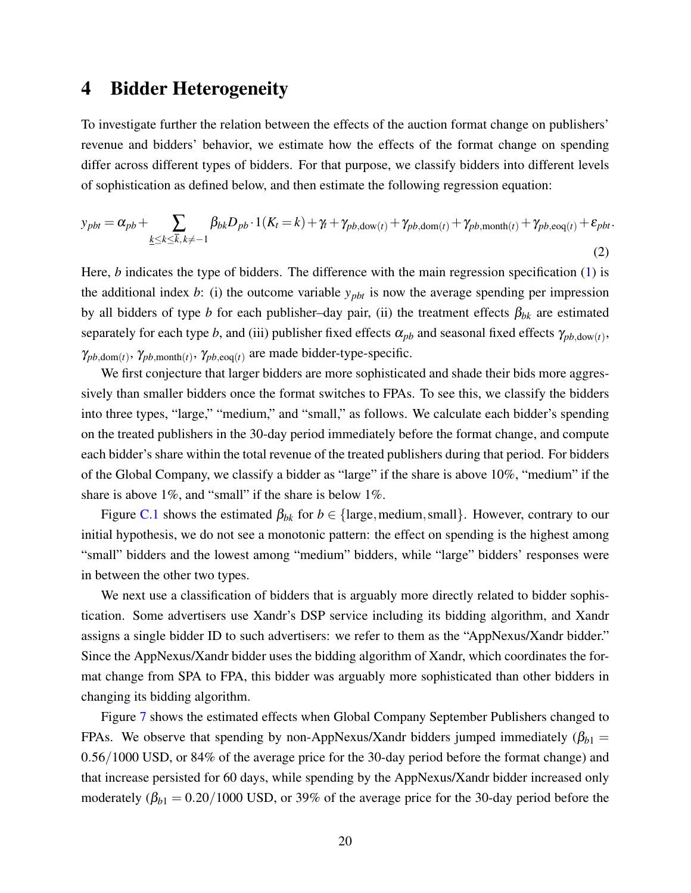### <span id="page-19-0"></span>4 Bidder Heterogeneity

To investigate further the relation between the effects of the auction format change on publishers' revenue and bidders' behavior, we estimate how the effects of the format change on spending differ across different types of bidders. For that purpose, we classify bidders into different levels of sophistication as defined below, and then estimate the following regression equation:

$$
y_{pbt} = \alpha_{pb} + \sum_{\underline{k} \leq k \leq \overline{k}, \, k \neq -1} \beta_{bk} D_{pb} \cdot 1(K_t = k) + \gamma_t + \gamma_{pb, \text{down}(t)} + \gamma_{pb, \text{down}(t)} + \gamma_{pb, \text{month}(t)} + \gamma_{pb, \text{eog}(t)} + \varepsilon_{pbt}.
$$
\n(2)

Here, *b* indicates the type of bidders. The difference with the main regression specification [\(1\)](#page-9-1) is the additional index *b*: (i) the outcome variable  $y_{\text{pb}t}$  is now the average spending per impression by all bidders of type *b* for each publisher–day pair, (ii) the treatment effects  $\beta_{bk}$  are estimated separately for each type *b*, and (iii) publisher fixed effects  $\alpha_{pb}$  and seasonal fixed effects  $\gamma_{pb, \text{dow}(t)}$ ,  $\gamma_{pb,dom(t)}, \gamma_{pb,month(t)}, \gamma_{pb,eq(t)}$  are made bidder-type-specific.

We first conjecture that larger bidders are more sophisticated and shade their bids more aggressively than smaller bidders once the format switches to FPAs. To see this, we classify the bidders into three types, "large," "medium," and "small," as follows. We calculate each bidder's spending on the treated publishers in the 30-day period immediately before the format change, and compute each bidder's share within the total revenue of the treated publishers during that period. For bidders of the Global Company, we classify a bidder as "large" if the share is above 10%, "medium" if the share is above 1%, and "small" if the share is below 1%.

Figure [C.1](#page-33-0) shows the estimated  $\beta_{bk}$  for  $b \in \{\text{large}, \text{medium}, \text{small}\}$ . However, contrary to our initial hypothesis, we do not see a monotonic pattern: the effect on spending is the highest among "small" bidders and the lowest among "medium" bidders, while "large" bidders' responses were in between the other two types.

We next use a classification of bidders that is arguably more directly related to bidder sophistication. Some advertisers use Xandr's DSP service including its bidding algorithm, and Xandr assigns a single bidder ID to such advertisers: we refer to them as the "AppNexus/Xandr bidder." Since the AppNexus/Xandr bidder uses the bidding algorithm of Xandr, which coordinates the format change from SPA to FPA, this bidder was arguably more sophisticated than other bidders in changing its bidding algorithm.

Figure [7](#page-20-0) shows the estimated effects when Global Company September Publishers changed to FPAs. We observe that spending by non-AppNexus/Xandr bidders jumped immediately  $(\beta_{b1} =$ 0.56/1000 USD, or 84% of the average price for the 30-day period before the format change) and that increase persisted for 60 days, while spending by the AppNexus/Xandr bidder increased only moderately  $(\beta_{b1} = 0.20/1000 \text{ USD})$ , or 39% of the average price for the 30-day period before the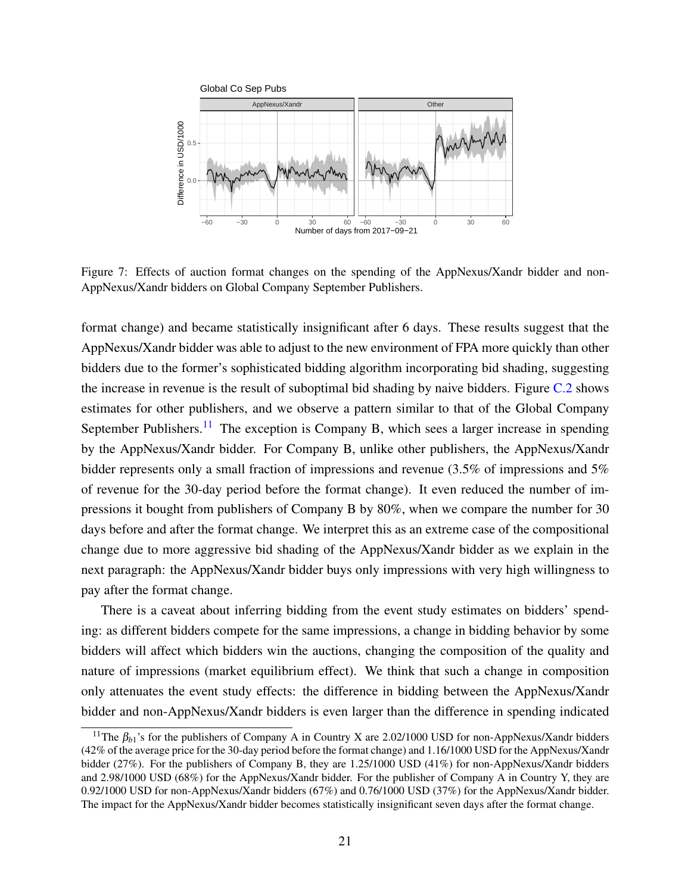<span id="page-20-0"></span>

Figure 7: Effects of auction format changes on the spending of the AppNexus/Xandr bidder and non-AppNexus/Xandr bidders on Global Company September Publishers.

format change) and became statistically insignificant after 6 days. These results suggest that the AppNexus/Xandr bidder was able to adjust to the new environment of FPA more quickly than other bidders due to the former's sophisticated bidding algorithm incorporating bid shading, suggesting the increase in revenue is the result of suboptimal bid shading by naive bidders. Figure [C.2](#page-34-0) shows estimates for other publishers, and we observe a pattern similar to that of the Global Company September Publishers.<sup>[11](#page-20-1)</sup> The exception is Company B, which sees a larger increase in spending by the AppNexus/Xandr bidder. For Company B, unlike other publishers, the AppNexus/Xandr bidder represents only a small fraction of impressions and revenue (3.5% of impressions and 5% of revenue for the 30-day period before the format change). It even reduced the number of impressions it bought from publishers of Company B by 80%, when we compare the number for 30 days before and after the format change. We interpret this as an extreme case of the compositional change due to more aggressive bid shading of the AppNexus/Xandr bidder as we explain in the next paragraph: the AppNexus/Xandr bidder buys only impressions with very high willingness to pay after the format change.

There is a caveat about inferring bidding from the event study estimates on bidders' spending: as different bidders compete for the same impressions, a change in bidding behavior by some bidders will affect which bidders win the auctions, changing the composition of the quality and nature of impressions (market equilibrium effect). We think that such a change in composition only attenuates the event study effects: the difference in bidding between the AppNexus/Xandr bidder and non-AppNexus/Xandr bidders is even larger than the difference in spending indicated

<span id="page-20-1"></span><sup>&</sup>lt;sup>11</sup>The  $\beta_{b1}$ 's for the publishers of Company A in Country X are 2.02/1000 USD for non-AppNexus/Xandr bidders (42% of the average price for the 30-day period before the format change) and 1.16/1000 USD for the AppNexus/Xandr bidder (27%). For the publishers of Company B, they are 1.25/1000 USD (41%) for non-AppNexus/Xandr bidders and 2.98/1000 USD (68%) for the AppNexus/Xandr bidder. For the publisher of Company A in Country Y, they are 0.92/1000 USD for non-AppNexus/Xandr bidders (67%) and 0.76/1000 USD (37%) for the AppNexus/Xandr bidder. The impact for the AppNexus/Xandr bidder becomes statistically insignificant seven days after the format change.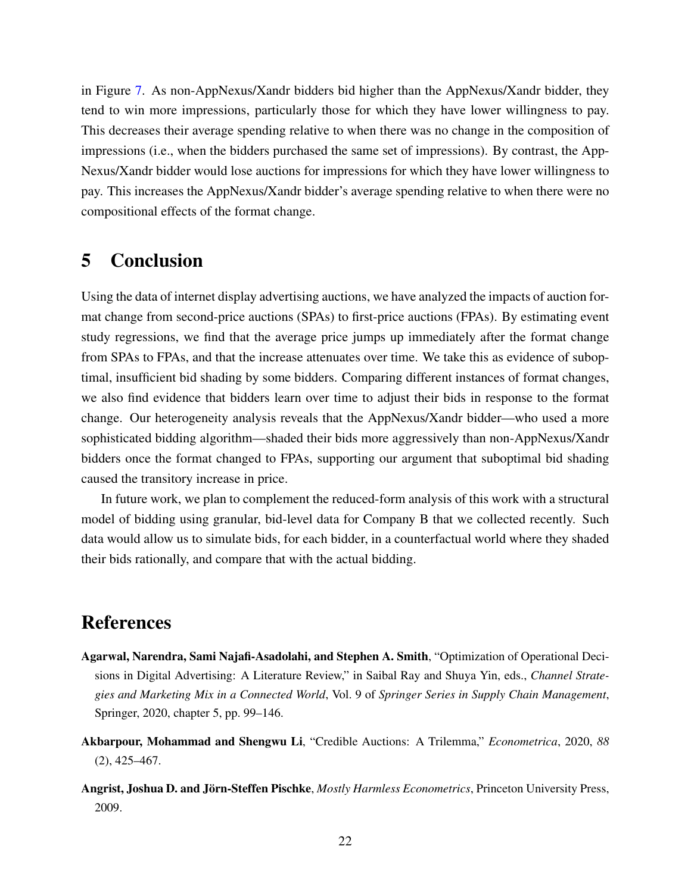in Figure [7.](#page-20-0) As non-AppNexus/Xandr bidders bid higher than the AppNexus/Xandr bidder, they tend to win more impressions, particularly those for which they have lower willingness to pay. This decreases their average spending relative to when there was no change in the composition of impressions (i.e., when the bidders purchased the same set of impressions). By contrast, the App-Nexus/Xandr bidder would lose auctions for impressions for which they have lower willingness to pay. This increases the AppNexus/Xandr bidder's average spending relative to when there were no compositional effects of the format change.

### <span id="page-21-1"></span>5 Conclusion

Using the data of internet display advertising auctions, we have analyzed the impacts of auction format change from second-price auctions (SPAs) to first-price auctions (FPAs). By estimating event study regressions, we find that the average price jumps up immediately after the format change from SPAs to FPAs, and that the increase attenuates over time. We take this as evidence of suboptimal, insufficient bid shading by some bidders. Comparing different instances of format changes, we also find evidence that bidders learn over time to adjust their bids in response to the format change. Our heterogeneity analysis reveals that the AppNexus/Xandr bidder—who used a more sophisticated bidding algorithm—shaded their bids more aggressively than non-AppNexus/Xandr bidders once the format changed to FPAs, supporting our argument that suboptimal bid shading caused the transitory increase in price.

In future work, we plan to complement the reduced-form analysis of this work with a structural model of bidding using granular, bid-level data for Company B that we collected recently. Such data would allow us to simulate bids, for each bidder, in a counterfactual world where they shaded their bids rationally, and compare that with the actual bidding.

### References

- <span id="page-21-0"></span>Agarwal, Narendra, Sami Najafi-Asadolahi, and Stephen A. Smith, "Optimization of Operational Decisions in Digital Advertising: A Literature Review," in Saibal Ray and Shuya Yin, eds., *Channel Strategies and Marketing Mix in a Connected World*, Vol. 9 of *Springer Series in Supply Chain Management*, Springer, 2020, chapter 5, pp. 99–146.
- <span id="page-21-2"></span>Akbarpour, Mohammad and Shengwu Li, "Credible Auctions: A Trilemma," *Econometrica*, 2020, *88* (2), 425–467.
- <span id="page-21-3"></span>Angrist, Joshua D. and Jörn-Steffen Pischke, *Mostly Harmless Econometrics*, Princeton University Press, 2009.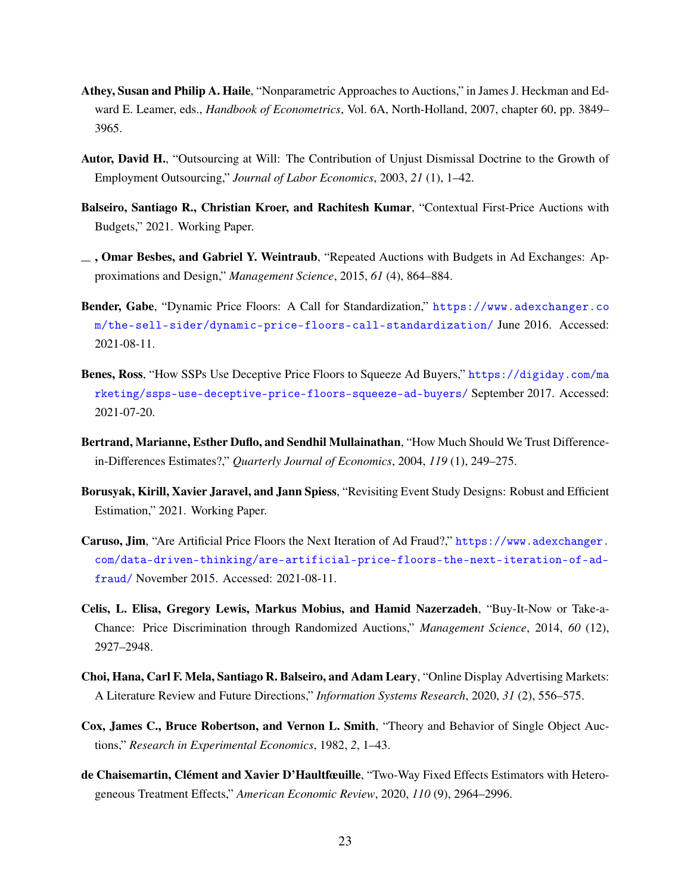- <span id="page-22-0"></span>Athey, Susan and Philip A. Haile, "Nonparametric Approaches to Auctions," in James J. Heckman and Edward E. Leamer, eds., *Handbook of Econometrics*, Vol. 6A, North-Holland, 2007, chapter 60, pp. 3849– 3965.
- <span id="page-22-11"></span>Autor, David H., "Outsourcing at Will: The Contribution of Unjust Dismissal Doctrine to the Growth of Employment Outsourcing," *Journal of Labor Economics*, 2003, *21* (1), 1–42.
- <span id="page-22-2"></span>Balseiro, Santiago R., Christian Kroer, and Rachitesh Kumar, "Contextual First-Price Auctions with Budgets," 2021. Working Paper.
- <span id="page-22-12"></span> $\Box$ , Omar Besbes, and Gabriel Y. Weintraub, "Repeated Auctions with Budgets in Ad Exchanges: Approximations and Design," *Management Science*, 2015, *61* (4), 864–884.
- <span id="page-22-5"></span>Bender, Gabe, "Dynamic Price Floors: A Call for Standardization," [https://www.adexchanger.co](https://www.adexchanger.com/the-sell-sider/dynamic-price-floors-call-standardization/) [m/the-sell-sider/dynamic-price-floors-call-standardization/](https://www.adexchanger.com/the-sell-sider/dynamic-price-floors-call-standardization/) June 2016. Accessed: 2021-08-11.
- <span id="page-22-7"></span>Benes, Ross, "How SSPs Use Deceptive Price Floors to Squeeze Ad Buyers," [https://digiday.com/ma](https://digiday.com/marketing/ssps-use-deceptive-price-floors-squeeze-ad-buyers/) [rketing/ssps-use-deceptive-price-floors-squeeze-ad-buyers/](https://digiday.com/marketing/ssps-use-deceptive-price-floors-squeeze-ad-buyers/) September 2017. Accessed: 2021-07-20.
- <span id="page-22-8"></span>Bertrand, Marianne, Esther Duflo, and Sendhil Mullainathan, "How Much Should We Trust Differencein-Differences Estimates?," *Quarterly Journal of Economics*, 2004, *119* (1), 249–275.
- <span id="page-22-10"></span>Borusyak, Kirill, Xavier Jaravel, and Jann Spiess, "Revisiting Event Study Designs: Robust and Efficient Estimation," 2021. Working Paper.
- <span id="page-22-6"></span>Caruso, Jim, "Are Artificial Price Floors the Next Iteration of Ad Fraud?," [https://www.adexchanger.](https://www.adexchanger.com/data-driven-thinking/are-artificial-price-floors-the-next-iteration-of-ad-fraud/) [com/data-driven-thinking/are-artificial-price-floors-the-next-iteration-of-ad](https://www.adexchanger.com/data-driven-thinking/are-artificial-price-floors-the-next-iteration-of-ad-fraud/)[fraud/](https://www.adexchanger.com/data-driven-thinking/are-artificial-price-floors-the-next-iteration-of-ad-fraud/) November 2015. Accessed: 2021-08-11.
- <span id="page-22-3"></span>Celis, L. Elisa, Gregory Lewis, Markus Mobius, and Hamid Nazerzadeh, "Buy-It-Now or Take-a-Chance: Price Discrimination through Randomized Auctions," *Management Science*, 2014, *60* (12), 2927–2948.
- <span id="page-22-4"></span>Choi, Hana, Carl F. Mela, Santiago R. Balseiro, and Adam Leary, "Online Display Advertising Markets: A Literature Review and Future Directions," *Information Systems Research*, 2020, *31* (2), 556–575.
- <span id="page-22-1"></span>Cox, James C., Bruce Robertson, and Vernon L. Smith, "Theory and Behavior of Single Object Auctions," *Research in Experimental Economics*, 1982, *2*, 1–43.
- <span id="page-22-9"></span>de Chaisemartin, Clément and Xavier D'Haultfœuille, "Two-Way Fixed Effects Estimators with Heterogeneous Treatment Effects," *American Economic Review*, 2020, *110* (9), 2964–2996.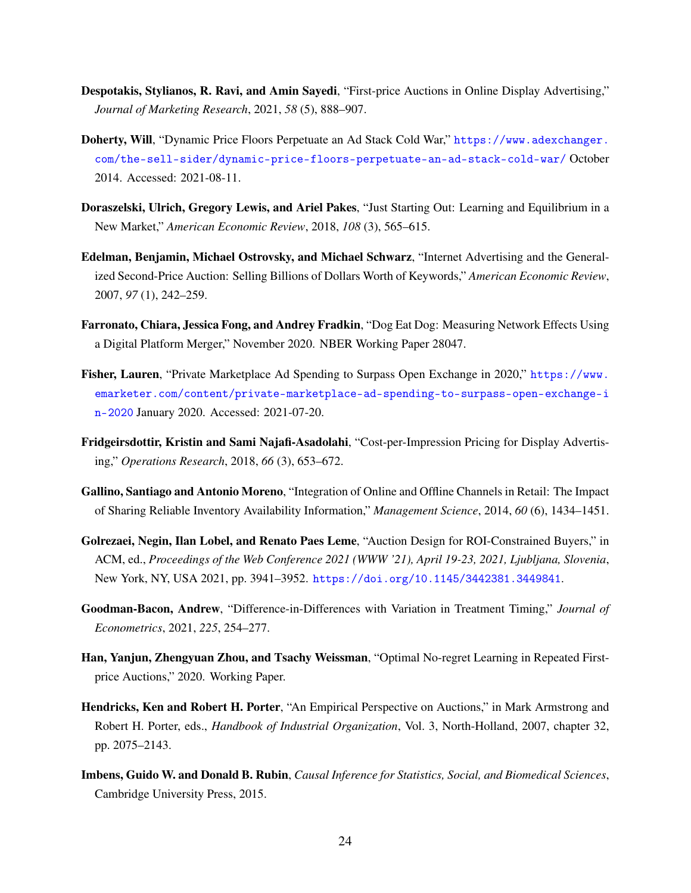- <span id="page-23-10"></span>Despotakis, Stylianos, R. Ravi, and Amin Sayedi, "First-price Auctions in Online Display Advertising," *Journal of Marketing Research*, 2021, *58* (5), 888–907.
- <span id="page-23-9"></span>Doherty, Will, "Dynamic Price Floors Perpetuate an Ad Stack Cold War," [https://www.adexchanger.](https://www.adexchanger.com/the-sell-sider/dynamic-price-floors-perpetuate-an-ad-stack-cold-war/) [com/the-sell-sider/dynamic-price-floors-perpetuate-an-ad-stack-cold-war/](https://www.adexchanger.com/the-sell-sider/dynamic-price-floors-perpetuate-an-ad-stack-cold-war/) October 2014. Accessed: 2021-08-11.
- <span id="page-23-1"></span>Doraszelski, Ulrich, Gregory Lewis, and Ariel Pakes, "Just Starting Out: Learning and Equilibrium in a New Market," *American Economic Review*, 2018, *108* (3), 565–615.
- <span id="page-23-8"></span>Edelman, Benjamin, Michael Ostrovsky, and Michael Schwarz, "Internet Advertising and the Generalized Second-Price Auction: Selling Billions of Dollars Worth of Keywords," *American Economic Review*, 2007, *97* (1), 242–259.
- <span id="page-23-5"></span>Farronato, Chiara, Jessica Fong, and Andrey Fradkin, "Dog Eat Dog: Measuring Network Effects Using a Digital Platform Merger," November 2020. NBER Working Paper 28047.
- <span id="page-23-7"></span>Fisher, Lauren, "Private Marketplace Ad Spending to Surpass Open Exchange in 2020," [https://www.](https://www.emarketer.com/content/private-marketplace-ad-spending-to-surpass-open-exchange-in-2020) [emarketer.com/content/private-marketplace-ad-spending-to-surpass-open-exchange-i](https://www.emarketer.com/content/private-marketplace-ad-spending-to-surpass-open-exchange-in-2020) [n-2020](https://www.emarketer.com/content/private-marketplace-ad-spending-to-surpass-open-exchange-in-2020) January 2020. Accessed: 2021-07-20.
- <span id="page-23-4"></span>Fridgeirsdottir, Kristin and Sami Najafi-Asadolahi, "Cost-per-Impression Pricing for Display Advertising," *Operations Research*, 2018, *66* (3), 653–672.
- <span id="page-23-6"></span>Gallino, Santiago and Antonio Moreno, "Integration of Online and Offline Channels in Retail: The Impact of Sharing Reliable Inventory Availability Information," *Management Science*, 2014, *60* (6), 1434–1451.
- <span id="page-23-3"></span>Golrezaei, Negin, Ilan Lobel, and Renato Paes Leme, "Auction Design for ROI-Constrained Buyers," in ACM, ed., *Proceedings of the Web Conference 2021 (WWW '21), April 19-23, 2021, Ljubljana, Slovenia*, New York, NY, USA 2021, pp. 3941–3952. <https://doi.org/10.1145/3442381.3449841>.
- <span id="page-23-11"></span>Goodman-Bacon, Andrew, "Difference-in-Differences with Variation in Treatment Timing," *Journal of Econometrics*, 2021, *225*, 254–277.
- <span id="page-23-2"></span>Han, Yanjun, Zhengyuan Zhou, and Tsachy Weissman, "Optimal No-regret Learning in Repeated Firstprice Auctions," 2020. Working Paper.
- <span id="page-23-0"></span>Hendricks, Ken and Robert H. Porter, "An Empirical Perspective on Auctions," in Mark Armstrong and Robert H. Porter, eds., *Handbook of Industrial Organization*, Vol. 3, North-Holland, 2007, chapter 32, pp. 2075–2143.
- <span id="page-23-12"></span>Imbens, Guido W. and Donald B. Rubin, *Causal Inference for Statistics, Social, and Biomedical Sciences*, Cambridge University Press, 2015.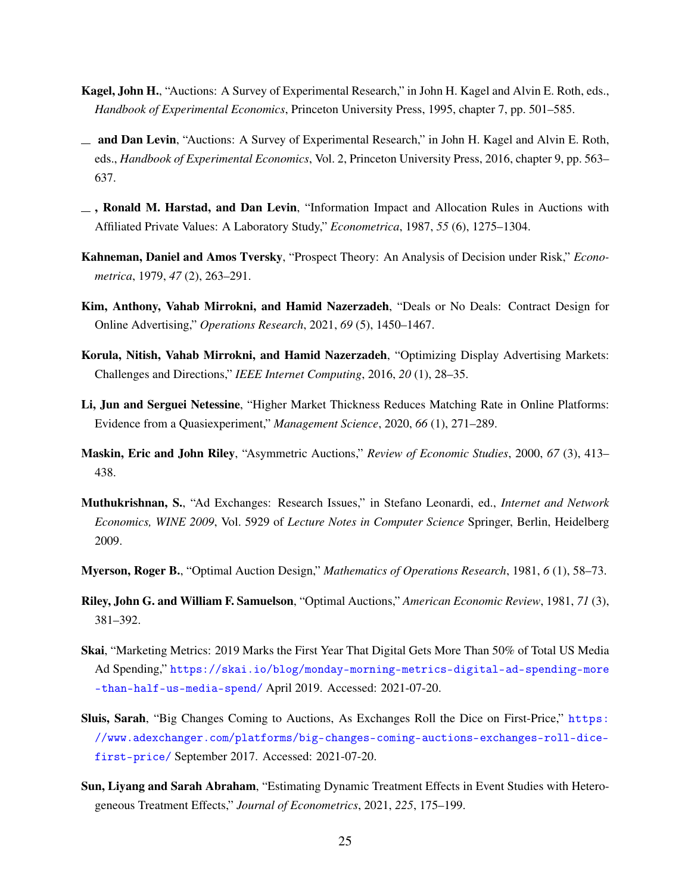- <span id="page-24-1"></span>Kagel, John H., "Auctions: A Survey of Experimental Research," in John H. Kagel and Alvin E. Roth, eds., *Handbook of Experimental Economics*, Princeton University Press, 1995, chapter 7, pp. 501–585.
- <span id="page-24-2"></span>and Dan Levin, "Auctions: A Survey of Experimental Research," in John H. Kagel and Alvin E. Roth, eds., *Handbook of Experimental Economics*, Vol. 2, Princeton University Press, 2016, chapter 9, pp. 563– 637.
- <span id="page-24-3"></span> $\Box$ , Ronald M. Harstad, and Dan Levin, "Information Impact and Allocation Rules in Auctions with Affiliated Private Values: A Laboratory Study," *Econometrica*, 1987, *55* (6), 1275–1304.
- <span id="page-24-0"></span>Kahneman, Daniel and Amos Tversky, "Prospect Theory: An Analysis of Decision under Risk," *Econometrica*, 1979, *47* (2), 263–291.
- <span id="page-24-12"></span>Kim, Anthony, Vahab Mirrokni, and Hamid Nazerzadeh, "Deals or No Deals: Contract Design for Online Advertising," *Operations Research*, 2021, *69* (5), 1450–1467.
- <span id="page-24-7"></span>Korula, Nitish, Vahab Mirrokni, and Hamid Nazerzadeh, "Optimizing Display Advertising Markets: Challenges and Directions," *IEEE Internet Computing*, 2016, *20* (1), 28–35.
- <span id="page-24-9"></span>Li, Jun and Serguei Netessine, "Higher Market Thickness Reduces Matching Rate in Online Platforms: Evidence from a Quasiexperiment," *Management Science*, 2020, *66* (1), 271–289.
- <span id="page-24-6"></span>Maskin, Eric and John Riley, "Asymmetric Auctions," *Review of Economic Studies*, 2000, *67* (3), 413– 438.
- <span id="page-24-8"></span>Muthukrishnan, S., "Ad Exchanges: Research Issues," in Stefano Leonardi, ed., *Internet and Network Economics, WINE 2009*, Vol. 5929 of *Lecture Notes in Computer Science* Springer, Berlin, Heidelberg 2009.
- <span id="page-24-4"></span>Myerson, Roger B., "Optimal Auction Design," *Mathematics of Operations Research*, 1981, *6* (1), 58–73.
- <span id="page-24-5"></span>Riley, John G. and William F. Samuelson, "Optimal Auctions," *American Economic Review*, 1981, *71* (3), 381–392.
- <span id="page-24-10"></span>Skai, "Marketing Metrics: 2019 Marks the First Year That Digital Gets More Than 50% of Total US Media Ad Spending," [https://skai.io/blog/monday-morning-metrics-digital-ad-spending-more](https://skai.io/blog/monday-morning-metrics-digital-ad-spending-more-than-half-us-media-spend/) [-than-half-us-media-spend/](https://skai.io/blog/monday-morning-metrics-digital-ad-spending-more-than-half-us-media-spend/) April 2019. Accessed: 2021-07-20.
- <span id="page-24-11"></span>Sluis, Sarah, "Big Changes Coming to Auctions, As Exchanges Roll the Dice on First-Price," [https:](https://www.adexchanger.com/platforms/big-changes-coming-auctions-exchanges-roll-dice-first-price/) [//www.adexchanger.com/platforms/big-changes-coming-auctions-exchanges-roll-dice](https://www.adexchanger.com/platforms/big-changes-coming-auctions-exchanges-roll-dice-first-price/)[first-price/](https://www.adexchanger.com/platforms/big-changes-coming-auctions-exchanges-roll-dice-first-price/) September 2017. Accessed: 2021-07-20.
- <span id="page-24-13"></span>Sun, Liyang and Sarah Abraham, "Estimating Dynamic Treatment Effects in Event Studies with Heterogeneous Treatment Effects," *Journal of Econometrics*, 2021, *225*, 175–199.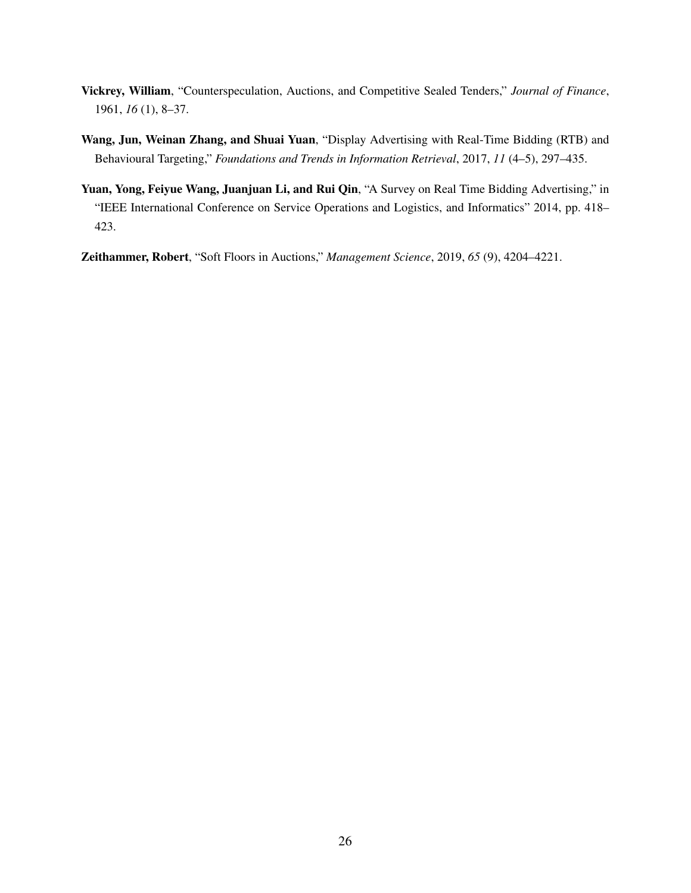- <span id="page-25-0"></span>Vickrey, William, "Counterspeculation, Auctions, and Competitive Sealed Tenders," *Journal of Finance*, 1961, *16* (1), 8–37.
- <span id="page-25-2"></span>Wang, Jun, Weinan Zhang, and Shuai Yuan, "Display Advertising with Real-Time Bidding (RTB) and Behavioural Targeting," *Foundations and Trends in Information Retrieval*, 2017, *11* (4–5), 297–435.
- <span id="page-25-1"></span>Yuan, Yong, Feiyue Wang, Juanjuan Li, and Rui Qin, "A Survey on Real Time Bidding Advertising," in "IEEE International Conference on Service Operations and Logistics, and Informatics" 2014, pp. 418– 423.

<span id="page-25-3"></span>Zeithammer, Robert, "Soft Floors in Auctions," *Management Science*, 2019, *65* (9), 4204–4221.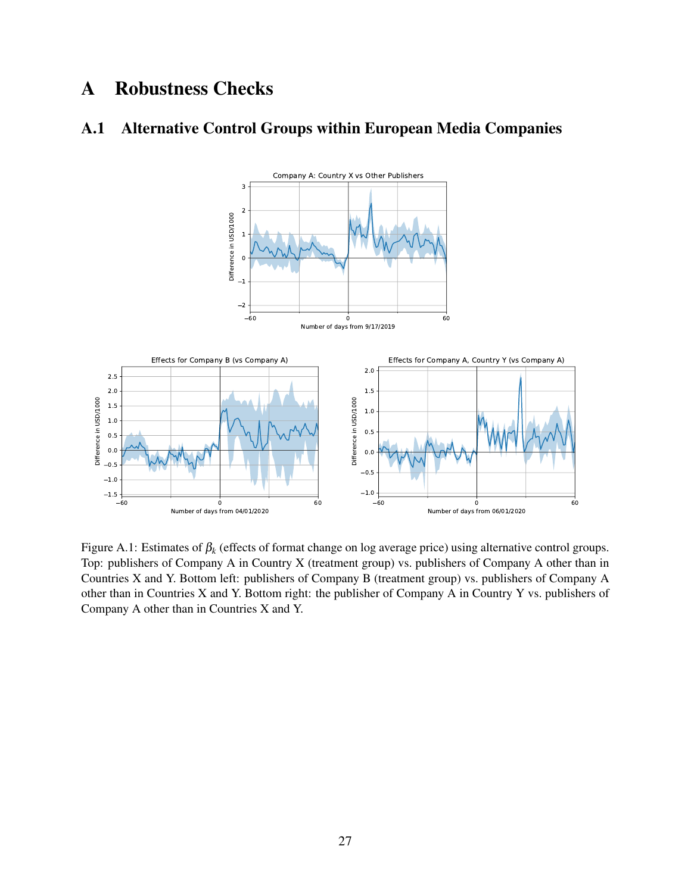## A Robustness Checks

### <span id="page-26-0"></span>A.1 Alternative Control Groups within European Media Companies



Figure A.1: Estimates of β*<sup>k</sup>* (effects of format change on log average price) using alternative control groups. Top: publishers of Company A in Country X (treatment group) vs. publishers of Company A other than in Countries X and Y. Bottom left: publishers of Company B (treatment group) vs. publishers of Company A other than in Countries X and Y. Bottom right: the publisher of Company A in Country Y vs. publishers of Company A other than in Countries X and Y.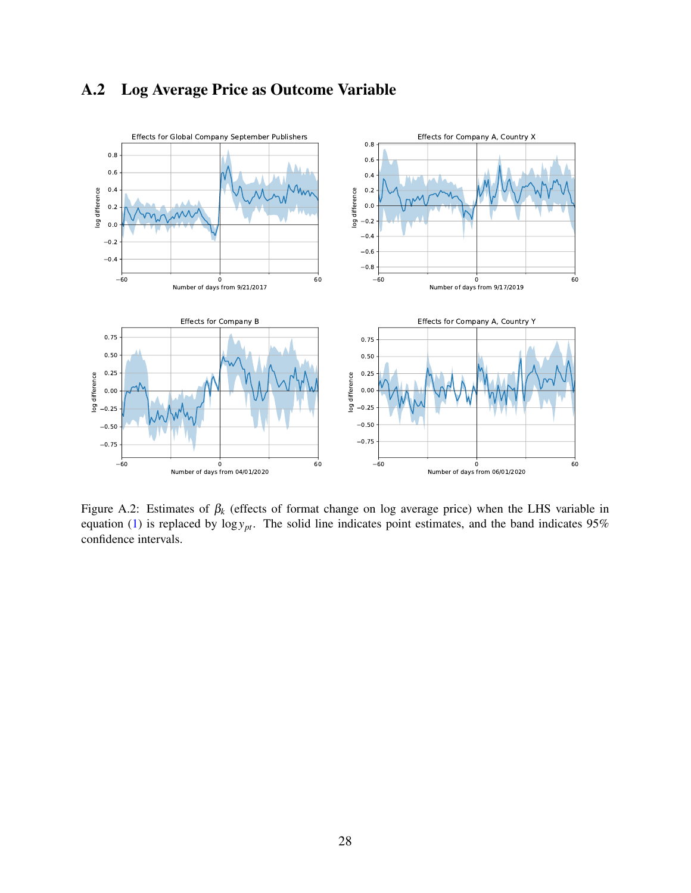### A.2 Log Average Price as Outcome Variable

<span id="page-27-0"></span>

Figure A.2: Estimates of β*<sup>k</sup>* (effects of format change on log average price) when the LHS variable in equation [\(1\)](#page-9-1) is replaced by  $\log y_{pt}$ . The solid line indicates point estimates, and the band indicates 95% confidence intervals.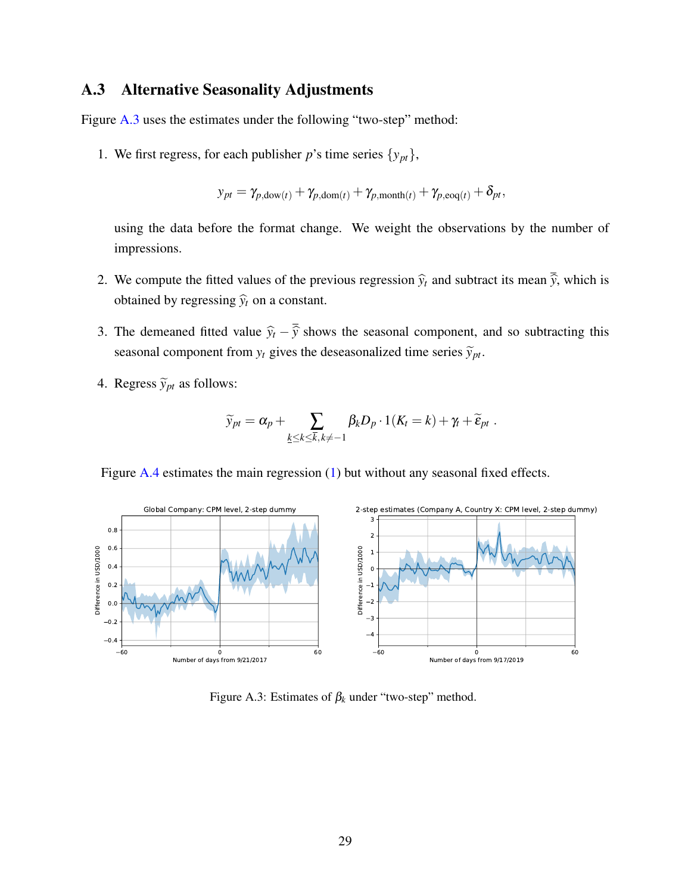### <span id="page-28-0"></span>A.3 Alternative Seasonality Adjustments

Figure [A.3](#page-28-1) uses the estimates under the following "two-step" method:

1. We first regress, for each publisher *p*'s time series  $\{y_{pt}\},$ 

$$
y_{pt} = \gamma_{p,\text{down}(t)} + \gamma_{p,\text{dom}(t)} + \gamma_{p,\text{month}(t)} + \gamma_{p,\text{eog}(t)} + \delta_{pt},
$$

using the data before the format change. We weight the observations by the number of impressions.

- 2. We compute the fitted values of the previous regression  $\hat{y}_t$  and subtract its mean  $\overline{\hat{y}}$ , which is obtained by regressing  $\hat{y}_t$  on a constant.
- 3. The demeaned fitted value  $\hat{y}_t \overline{\hat{y}}$  shows the seasonal component, and so subtracting this seasonal component from  $y_t$  gives the deseasonalized time series  $\widetilde{y}_{pt}$ .
- 4. Regress  $\widetilde{y}_{pt}$  as follows:

$$
\widetilde{y}_{pt} = \alpha_p + \sum_{\underline{k} \leq \underline{k} \leq \overline{k}, \underline{k} \neq -1} \beta_{\underline{k}} D_p \cdot 1(K_t = \underline{k}) + \gamma_t + \widetilde{\varepsilon}_{pt}.
$$

Figure [A.4](#page-29-0) estimates the main regression [\(1\)](#page-9-1) but without any seasonal fixed effects.

<span id="page-28-1"></span>

Figure A.3: Estimates of  $\beta_k$  under "two-step" method.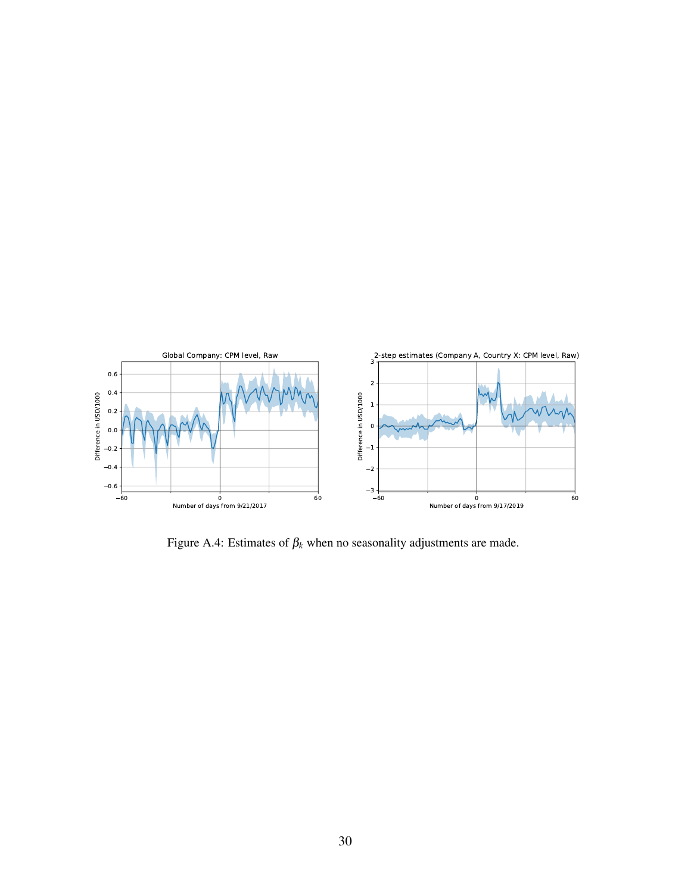<span id="page-29-0"></span>

Figure A.4: Estimates of  $\beta_k$  when no seasonality adjustments are made.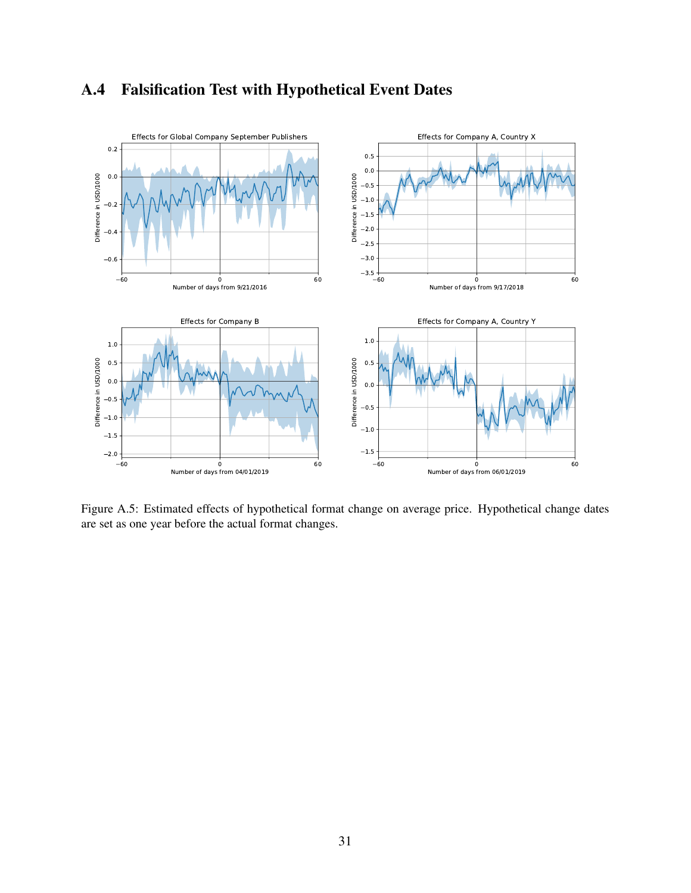## A.4 Falsification Test with Hypothetical Event Dates

<span id="page-30-0"></span>

Figure A.5: Estimated effects of hypothetical format change on average price. Hypothetical change dates are set as one year before the actual format changes.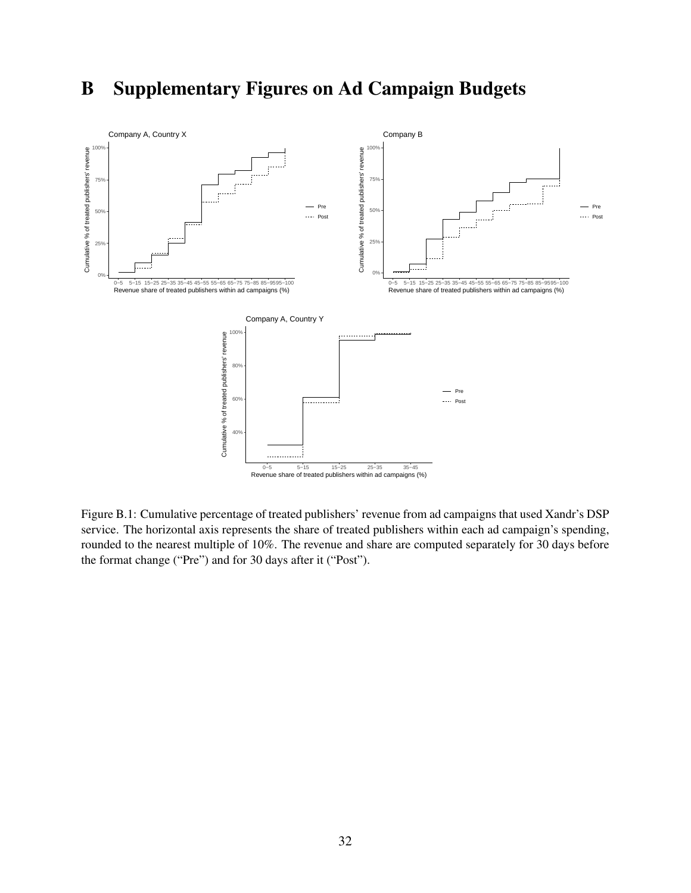# B Supplementary Figures on Ad Campaign Budgets

<span id="page-31-0"></span>

Figure B.1: Cumulative percentage of treated publishers' revenue from ad campaigns that used Xandr's DSP service. The horizontal axis represents the share of treated publishers within each ad campaign's spending, rounded to the nearest multiple of 10%. The revenue and share are computed separately for 30 days before the format change ("Pre") and for 30 days after it ("Post").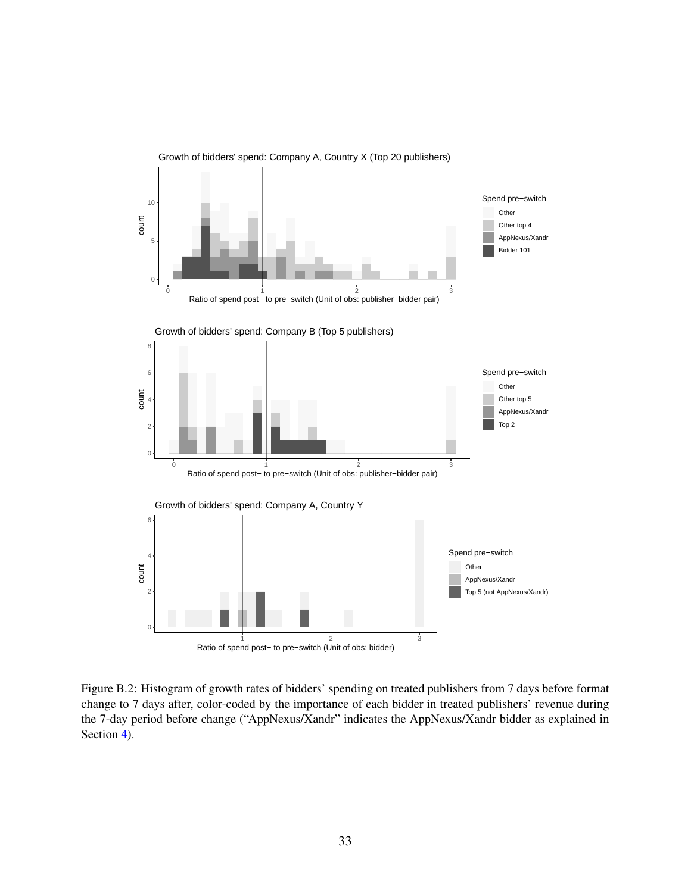<span id="page-32-0"></span>

Figure B.2: Histogram of growth rates of bidders' spending on treated publishers from 7 days before format change to 7 days after, color-coded by the importance of each bidder in treated publishers' revenue during the 7-day period before change ("AppNexus/Xandr" indicates the AppNexus/Xandr bidder as explained in Section [4\)](#page-19-0).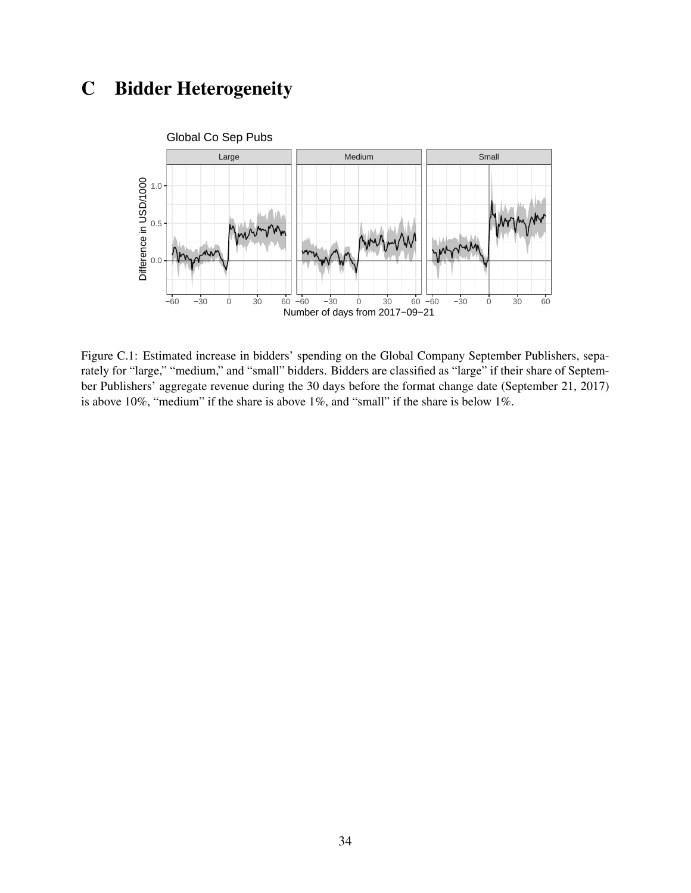# C Bidder Heterogeneity

<span id="page-33-0"></span>

Figure C.1: Estimated increase in bidders' spending on the Global Company September Publishers, separately for "large," "medium," and "small" bidders. Bidders are classified as "large" if their share of September Publishers' aggregate revenue during the 30 days before the format change date (September 21, 2017) is above 10%, "medium" if the share is above 1%, and "small" if the share is below 1%.